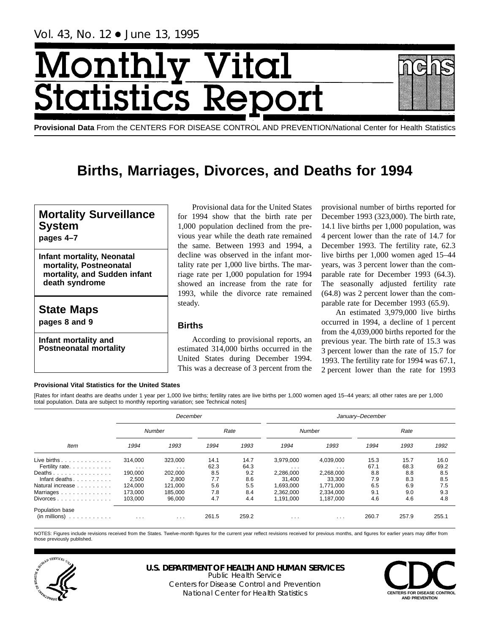# Monthl <u>| Vital</u> **itatistics Rep**



# **Births, Marriages, Divorces, and Deaths for 1994**

# **Mortality Surveillance System**

**pages 4–7**

**Infant mortality, Neonatal mortality, Postneonatal mortality, and Sudden infant death syndrome**

# **State Maps pages 8 and 9**

**Infant mortality and Postneonatal mortality**

Provisional data for the United States for 1994 show that the birth rate per 1,000 population declined from the previous year while the death rate remained the same. Between 1993 and 1994, a decline was observed in the infant mortality rate per 1,000 live births. The marriage rate per 1,000 population for 1994 showed an increase from the rate for 1993, while the divorce rate remained steady.

# **Births**

According to provisional reports, an estimated 314,000 births occurred in the United States during December 1994. This was a decrease of 3 percent from the

provisional number of births reported for December 1993 (323,000). The birth rate, 14.1 live births per 1,000 population, was 4 percent lower than the rate of 14.7 for December 1993. The fertility rate, 62.3 live births per 1,000 women aged 15–44 years, was 3 percent lower than the comparable rate for December 1993 (64.3). The seasonally adjusted fertility rate (64.8) was 2 percent lower than the comparable rate for December 1993 (65.9).

An estimated 3,979,000 live births occurred in 1994, a decline of 1 percent from the 4,039,000 births reported for the previous year. The birth rate of 15.3 was 3 percent lower than the rate of 15.7 for 1993. The fertility rate for 1994 was 67.1, 2 percent lower than the rate for 1993

# **Provisional Vital Statistics for the United States**

[Rates for infant deaths are deaths under 1 year per 1,000 live births; fertility rates are live births per 1,000 women aged 15–44 years; all other rates are per 1,000 total population. Data are subject to monthly reporting variation; see Technical notes]

|                                                                    |                     | December            |              |              |                        |                        | January-December |              |              |
|--------------------------------------------------------------------|---------------------|---------------------|--------------|--------------|------------------------|------------------------|------------------|--------------|--------------|
|                                                                    |                     | Number              |              | Rate         |                        | Number                 |                  | Rate         |              |
| Item                                                               | 1994                | 1993                | 1994         | 1993         | 1994                   | 1993                   | 1994             | 1993         | 1992         |
| Live births $\ldots$<br>Fertility rate.                            | 314.000<br>$\cdots$ | 323,000<br>$\cdots$ | 14.1<br>62.3 | 14.7<br>64.3 | 3,979,000<br>$\cdots$  | 4,039,000<br>$\cdots$  | 15.3<br>67.1     | 15.7<br>68.3 | 16.0<br>69.2 |
| Deaths<br>Infant deaths                                            | 190.000<br>2,500    | 202,000<br>2,800    | 8.5<br>7.7   | 9.2<br>8.6   | 2.286.000<br>31.400    | 2,268,000<br>33.300    | 8.8<br>7.9       | 8.8<br>8.3   | 8.5<br>8.5   |
| Natural increase<br>Marriages                                      | 124.000<br>173.000  | 121.000<br>185.000  | 5.6<br>7.8   | 5.5<br>8.4   | 1.693.000<br>2.362.000 | 1.771.000<br>2,334,000 | 6.5<br>9.1       | 6.9<br>9.0   | 7.5<br>9.3   |
| Divorces                                                           | 103.000             | 96,000              | 4.7          | 4.4          | 1.191.000              | 1.187.000              | 4.6              | 4.6          | 4.8          |
| Population base<br>$(in \text{ millions}) \dots \dots \dots \dots$ | $\cdots$            | $\cdots$            | 261.5        | 259.2        | .                      | .                      | 260.7            | 257.9        | 255.1        |

NOTES: Figures include revisions received from the States. Twelve-month figures for the current year reflect revisions received for previous months, and figures for earlier years may differ from those previously published.



# **U.S. DEPARTMENT OF HEALTH AND HUMAN SERVICES**

Public Health Service Centers for Disease Control and Prevention National Center for Health Statistics **CENTERS FOR DISEASE CONTROL** 

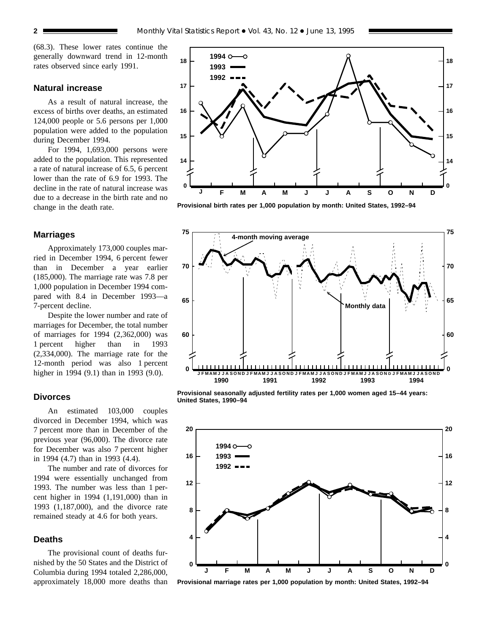(68.3). These lower rates continue the generally downward trend in 12-month rates observed since early 1991.

## **Natural increase**

As a result of natural increase, the excess of births over deaths, an estimated 124,000 people or 5.6 persons per 1,000 population were added to the population during December 1994.

For 1994, 1,693,000 persons were added to the population. This represented a rate of natural increase of 6.5, 6 percent lower than the rate of 6.9 for 1993. The decline in the rate of natural increase was due to a decrease in the birth rate and no change in the death rate.

# **Marriages**

Approximately 173,000 couples married in December 1994, 6 percent fewer than in December a year earlier (185,000). The marriage rate was 7.8 per 1,000 population in December 1994 compared with 8.4 in December 1993—a 7-percent decline.

Despite the lower number and rate of marriages for December, the total number of marriages for 1994 (2,362,000) was 1 percent higher than in 1993 (2,334,000). The marriage rate for the 12-month period was also 1 percent higher in 1994 (9.1) than in 1993 (9.0).

## **Divorces**

An estimated 103,000 couples divorced in December 1994, which was 7 percent more than in December of the previous year (96,000). The divorce rate for December was also 7 percent higher in 1994 (4.7) than in 1993 (4.4).

The number and rate of divorces for 1994 were essentially unchanged from 1993. The number was less than 1 percent higher in 1994 (1,191,000) than in 1993 (1,187,000), and the divorce rate remained steady at 4.6 for both years.

# **Deaths**

The provisional count of deaths furnished by the 50 States and the District of Columbia during 1994 totaled 2,286,000, approximately 18,000 more deaths than



**Provisional birth rates per 1,000 population by month: United States, 1992–94**



**Provisional seasonally adjusted fertility rates per 1,000 women aged 15–44 years: United States, 1990–94**



**Provisional marriage rates per 1,000 population by month: United States, 1992–94**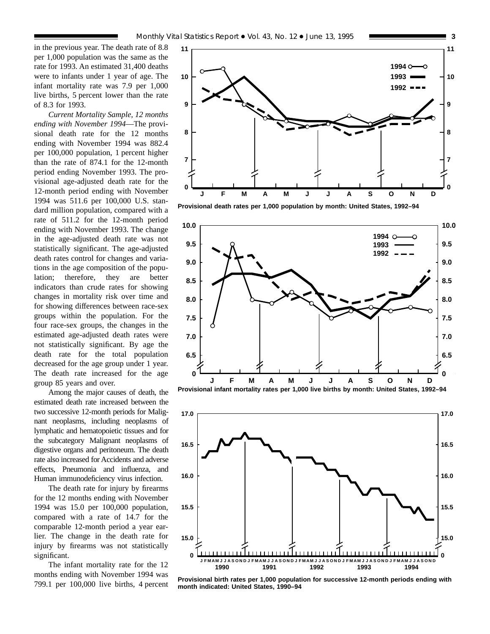in the previous year. The death rate of 8.8 per 1,000 population was the same as the rate for 1993. An estimated 31,400 deaths were to infants under 1 year of age. The infant mortality rate was 7.9 per 1,000 live births, 5 percent lower than the rate of 8.3 for 1993.

*Current Mortality Sample, 12 months ending with November 1994*—The provisional death rate for the 12 months ending with November 1994 was 882.4 per 100,000 population, 1 percent higher than the rate of 874.1 for the 12-month period ending November 1993. The provisional age-adjusted death rate for the 12-month period ending with November 1994 was 511.6 per 100,000 U.S. standard million population, compared with a rate of 511.2 for the 12-month period ending with November 1993. The change in the age-adjusted death rate was not statistically significant. The age-adjusted death rates control for changes and variations in the age composition of the population; therefore, they are better indicators than crude rates for showing changes in mortality risk over time and for showing differences between race-sex groups within the population. For the four race-sex groups, the changes in the estimated age-adjusted death rates were not statistically significant. By age the death rate for the total population decreased for the age group under 1 year. The death rate increased for the age group 85 years and over.

Among the major causes of death, the estimated death rate increased between the two successive 12-month periods for Malignant neoplasms, including neoplasms of lymphatic and hematopoietic tissues and for the subcategory Malignant neoplasms of digestive organs and peritoneum. The death rate also increased for Accidents and adverse effects, Pneumonia and influenza, and Human immunodeficiency virus infection.

The death rate for injury by firearms for the 12 months ending with November 1994 was 15.0 per 100,000 population, compared with a rate of 14.7 for the comparable 12-month period a year earlier. The change in the death rate for injury by firearms was not statistically significant.

The infant mortality rate for the 12 months ending with November 1994 was 799.1 per 100,000 live births, 4 percent



**Provisional death rates per 1,000 population by month: United States, 1992–94**







**Provisional birth rates per 1,000 population for successive 12-month periods ending with month indicated: United States, 1990–94**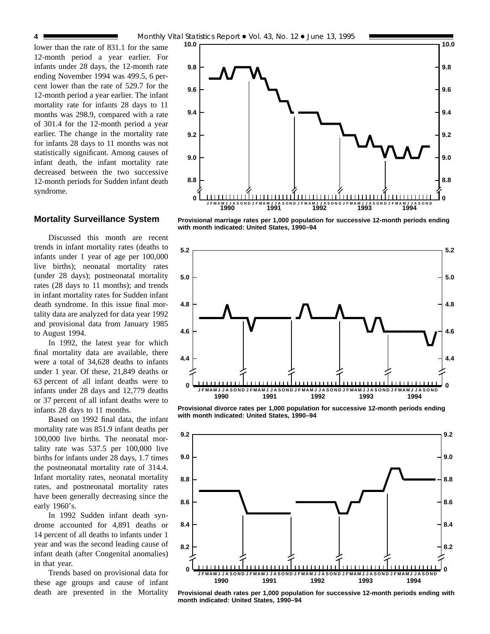lower than the rate of 831.1 for the same 12-month period a year earlier. For infants under 28 days, the 12-month rate ending November 1994 was 499.5, 6 percent lower than the rate of 529.7 for the 12-month period a year earlier. The infant mortality rate for infants 28 days to 11 months was 298.9, compared with a rate of 301.4 for the 12-month period a year earlier. The change in the mortality rate for infants 28 days to 11 months was not statistically significant. Among causes of infant death, the infant mortality rate decreased between the two successive 12-month periods for Sudden infant death syndrome.

## **Mortality Surveillance System**

Discussed this month are recent trends in infant mortality rates (deaths to infants under 1 year of age per 100,000 live births); neonatal mortality rates (under 28 days); postneonatal mortality rates (28 days to 11 months); and trends in infant mortality rates for Sudden infant death syndrome. In this issue final mortality data are analyzed for data year 1992 and provisional data from January 1985 to August 1994.

In 1992, the latest year for which final mortality data are available, there were a total of 34,628 deaths to infants under 1 year. Of these, 21,849 deaths or 63 percent of all infant deaths were to infants under 28 days and 12,779 deaths or 37 percent of all infant deaths were to infants 28 days to 11 months.

Based on 1992 final data, the infant mortality rate was 851.9 infant deaths per 100,000 live births. The neonatal mortality rate was 537.5 per 100,000 live births for infants under 28 days, 1.7 times the postneonatal mortality rate of 314.4. Infant mortality rates, neonatal mortality rates, and postneonatal mortality rates have been generally decreasing since the early 1960's.

In 1992 Sudden infant death syndrome accounted for 4,891 deaths or 14 percent of all deaths to infants under 1 year and was the second leading cause of infant death (after Congenital anomalies) in that year.

Trends based on provisional data for these age groups and cause of infant death are presented in the Mortality



**Provisional marriage rates per 1,000 population for successive 12-month periods ending with month indicated: United States, 1990–94**



**Provisional divorce rates per 1,000 population for successive 12-month periods ending with month indicated: United States, 1990–94**



**Provisional death rates per 1,000 population for successive 12-month periods ending with month indicated: United States, 1990–94**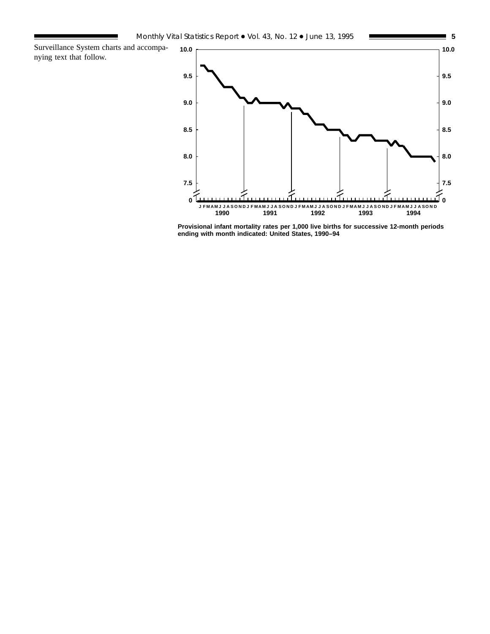Surveillance System charts and accompanying text that follow.



**Provisional infant mortality rates per 1,000 live births for successive 12-month periods ending with month indicated: United States, 1990–94**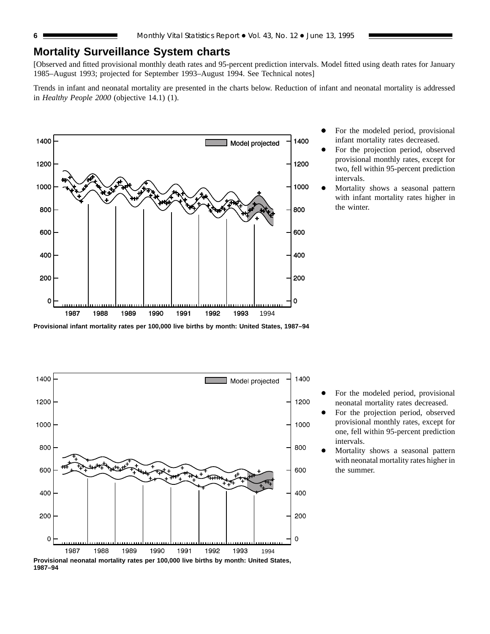# **Mortality Surveillance System charts**

[Observed and fitted provisional monthly death rates and 95-percent prediction intervals. Model fitted using death rates for January 1985–August 1993; projected for September 1993–August 1994. See Technical notes]

Trends in infant and neonatal mortality are presented in the charts below. Reduction of infant and neonatal mortality is addressed in *Healthy People 2000* (objective 14.1) (1).



- For the modeled period, provisional infant mortality rates decreased.
- For the projection period, observed provisional monthly rates, except for two, fell within 95-percent prediction intervals.
- Mortality shows a seasonal pattern with infant mortality rates higher in the winter.

**Provisional infant mortality rates per 100,000 live births by month: United States, 1987–94**



**Provisional neonatal mortality rates per 100,000 live births by month: United States, 1987–94**

- For the modeled period, provisional neonatal mortality rates decreased.
- For the projection period, observed provisional monthly rates, except for one, fell within 95-percent prediction intervals.
- Mortality shows a seasonal pattern with neonatal mortality rates higher in the summer.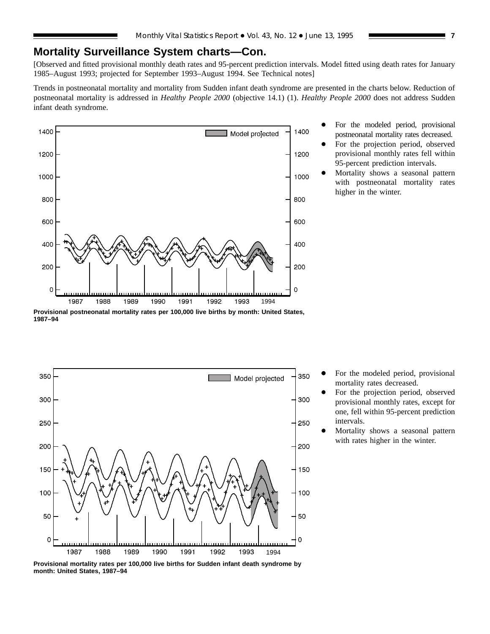# **Mortality Surveillance System charts—Con.**

[Observed and fitted provisional monthly death rates and 95-percent prediction intervals. Model fitted using death rates for January 1985–August 1993; projected for September 1993–August 1994. See Technical notes]

Trends in postneonatal mortality and mortality from Sudden infant death syndrome are presented in the charts below. Reduction of postneonatal mortality is addressed in *Healthy People 2000* (objective 14.1) (1). *Healthy People 2000* does not address Sudden infant death syndrome.



- For the modeled period, provisional postneonatal mortality rates decreased. For the projection period, observed
- provisional monthly rates fell within 95-percent prediction intervals.
- Mortality shows a seasonal pattern with postneonatal mortality rates higher in the winter.

**Provisional postneonatal mortality rates per 100,000 live births by month: United States, 1987–94**



- For the modeled period, provisional mortality rates decreased.
- For the projection period, observed provisional monthly rates, except for one, fell within 95-percent prediction intervals.
- Mortality shows a seasonal pattern with rates higher in the winter.

**Provisional mortality rates per 100,000 live births for Sudden infant death syndrome by month: United States, 1987–94**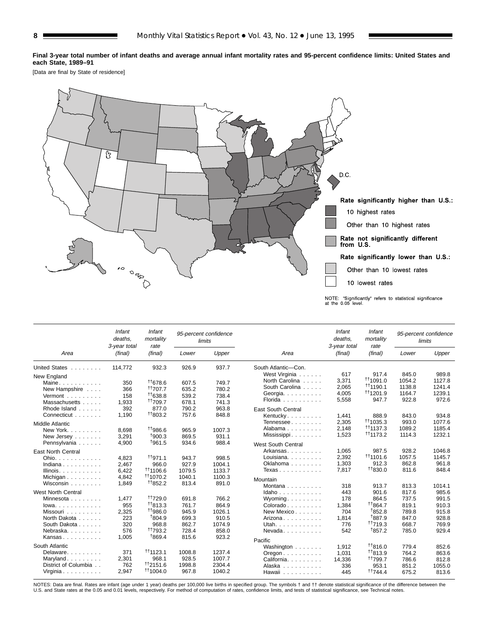**Final 3-year total number of infant deaths and average annual infant mortality rates and 95-percent confidence limits: United States and each State, 1989–91**

[Data are final by State of residence]



|                              | Infant<br>deaths.<br>3-year total | Infant<br>mortality<br>rate |        | 95-percent confidence<br>limits |                                          | Infant<br>deaths.<br>3-year total | Infant<br>mortality<br>rate |        | 95-percent confidence<br>limits |
|------------------------------|-----------------------------------|-----------------------------|--------|---------------------------------|------------------------------------------|-----------------------------------|-----------------------------|--------|---------------------------------|
| Area                         | (final)                           | (final)                     | Lower  | Upper                           | Area                                     | (final)                           | (final)                     | Lower  | Upper                           |
| United States<br>New England | 114,772                           | 932.3                       | 926.9  | 937.7                           | South Atlantic-Con.<br>West Virginia     | 617                               | 917.4                       | 845.0  | 989.8                           |
| Maine                        | 350                               | 11678.6                     | 607.5  | 749.7                           | North Carolina                           | 3,371                             | $+11091.0$                  | 1054.2 | 1127.8                          |
| New Hampshire                | 366                               | <sup>++</sup> 707.7         | 635.2  | 780.2                           | South Carolina                           | 2.065                             | $+1190.1$                   | 1138.8 | 1241.4                          |
| Vermont                      | 158                               | $+1638.8$                   | 539.2  | 738.4                           | Georgia.                                 | 4,005                             | <sup>††</sup> 1201.9        | 1164.7 | 1239.1                          |
| Massachusetts                | 1.933                             | <sup>++</sup> 709.7         | 678.1  | 741.3                           | Florida                                  | 5,558                             | 947.7                       | 922.8  | 972.6                           |
| Rhode Island                 | 392                               | 877.0                       | 790.2  | 963.8                           | East South Central                       |                                   |                             |        |                                 |
| Connecticut                  | 1.190                             | <sup>+1</sup> 803.2         | 757.6  | 848.8                           | Kentucky                                 | 1,441                             | 888.9                       | 843.0  | 934.8                           |
| Middle Atlantic              |                                   |                             |        |                                 | Tennessee                                | 2,305                             | <sup>††</sup> 1035.3        | 993.0  | 1077.6                          |
| New York.                    | 8,698                             | <sup>+1</sup> 986.6         | 965.9  | 1007.3                          | Alabama                                  | 2.148                             | <sup>††</sup> 1137.3        | 1089.2 | 1185.4                          |
| New Jersey                   | 3,291                             | †900.3                      | 869.5  | 931.1                           | Mississippi                              | 1,523                             | <sup>††</sup> 1173.2        | 1114.3 | 1232.1                          |
| Pennsylvania                 | 4,900                             | <sup>t</sup> 961.5          | 934.6  | 988.4                           | West South Central                       |                                   |                             |        |                                 |
| <b>East North Central</b>    |                                   |                             |        |                                 | Arkansas                                 | 1,065                             | 987.5                       | 928.2  | 1046.8                          |
| Ohio.                        | 4,823                             | $^{++971.1}$                | 943.7  | 998.5                           | Louisiana. $\ldots$ .                    | 2,392                             | <sup>11</sup> 1101.6        | 1057.5 | 1145.7                          |
| Indiana                      | 2,467                             | 966.0                       | 927.9  | 1004.1                          | Oklahoma                                 | 1,303                             | 912.3                       | 862.8  | 961.8                           |
| Illinois.                    | 6.422                             | <sup>++</sup> 1106.6        | 1079.5 | 1133.7                          | Texas                                    | 7.817                             | $^{+1830.0}$                | 811.6  | 848.4                           |
| Michigan                     | 4,842                             | <sup>+†</sup> 1070.2        | 1040.1 | 1100.3                          |                                          |                                   |                             |        |                                 |
| Wisconsin                    | 1.849                             | <sup>++</sup> 852.2         | 813.4  | 891.0                           | Mountain                                 |                                   |                             |        |                                 |
|                              |                                   |                             |        |                                 | Montana                                  | 318                               | 913.7                       | 813.3  | 1014.1                          |
| <b>West North Central</b>    |                                   |                             |        |                                 | $Idaho \ldots \ldots \ldots$             | 443                               | 901.6                       | 817.6  | 985.6                           |
| Minnesota                    | 1.477                             | <sup>++</sup> 729.0         | 691.8  | 766.2                           | Wyoming. $\ldots$                        | 178                               | 864.5                       | 737.5  | 991.5                           |
| $lowa. \ldots. \ldots.$      | 955                               | $^{\dagger\dagger}813.3$    | 761.7  | 864.9                           | Colorado.                                | 1,384                             | <sup>++</sup> 864.7         | 819.1  | 910.3                           |
| Missouri                     | 2,325                             | <sup>++</sup> 986.0         | 945.9  | 1026.1                          | New Mexico                               | 704                               | <sup>1</sup> 852.8          | 789.8  | 915.8                           |
| North Dakota                 | 223                               | <sup>t</sup> 804.9          | 699.3  | 910.5                           | Arizona                                  | 1,814                             | <sup>t</sup> 887.9          | 847.0  | 928.8                           |
| South Dakota                 | 320                               | 968.8                       | 862.7  | 1074.9                          | Utah.                                    | 776                               | <sup>++</sup> 719.3         | 668.7  | 769.9                           |
| Nebraska.                    | 576                               | <sup>++</sup> 793.2         | 728.4  | 858.0                           | $N$ evada                                | 542                               | <sup>1</sup> 857.2          | 785.0  | 929.4                           |
| Kansas                       | 1.005                             | <sup>1</sup> 869.4          | 815.6  | 923.2                           | Pacific                                  |                                   |                             |        |                                 |
| South Atlantic               |                                   |                             |        |                                 | Washington                               | 1,912                             | <sup>+</sup> 1816.0         | 779.4  | 852.6                           |
| Delaware                     | 371                               | $+1123.1$                   | 1008.8 | 1237.4                          | $O$ regon $\ldots$ , $\ldots$ , $\ldots$ | 1,031                             | <sup>++</sup> 813.9         | 764.2  | 863.6                           |
| Maryland                     | 2.301                             | 968.1                       | 928.5  | 1007.7                          | California.                              | 14,336                            | <sup>††</sup> 799.7         | 786.6  | 812.8                           |
| District of Columbia         | 762                               | <sup>††</sup> 2151.6        | 1998.8 | 2304.4                          | Alaska                                   | 336                               | 953.1                       | 851.2  | 1055.0                          |
| Virginia                     | 2,947                             | <sup>+1</sup> 1004.0        | 967.8  | 1040.2                          | Hawaii                                   | 445                               | <sup>++</sup> 744.4         | 675.2  | 813.6                           |

NOTES: Data are final. Rates are infant (age under 1 year) deaths per 100,000 live births in specified group. The symbols † and †† denote statistical significance of the difference between the<br>U.S. and State rates at the 0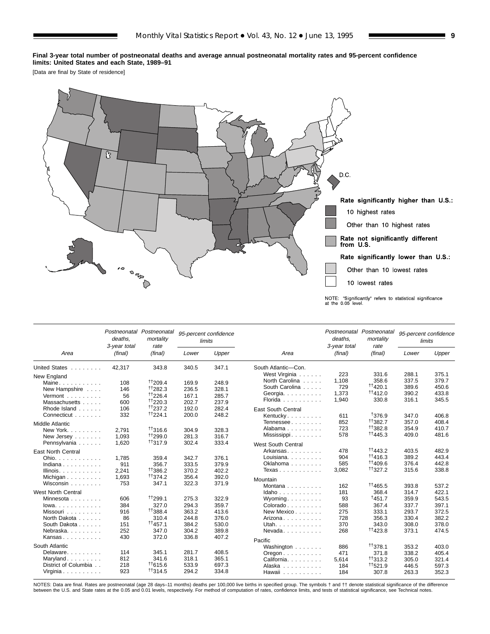#### **Final 3-year total number of postneonatal deaths and average annual postneonatal mortality rates and 95-percent confidence limits: United States and each State, 1989–91**

[Data are final by State of residence]



|                               | deaths.<br>3-year total | Postneonatal Postneonatal<br>mortality<br>rate |       | 95-percent confidence<br>limits |                                          | deaths,<br>3-year total | Postneonatal Postneonatal<br>mortality<br>rate |                | 95-percent confidence<br>limits |
|-------------------------------|-------------------------|------------------------------------------------|-------|---------------------------------|------------------------------------------|-------------------------|------------------------------------------------|----------------|---------------------------------|
| Area                          | (final)                 | (final)                                        | Lower | Upper                           | Area                                     | (final)                 | (final)                                        | Lower          | Upper                           |
| United States                 | 42.317                  | 343.8                                          | 340.5 | 347.1                           | South Atlantic-Con.                      |                         |                                                |                |                                 |
| New England                   |                         |                                                |       |                                 | West Virginia                            | 223                     | 331.6                                          | 288.1          | 375.1                           |
| Maine                         | 108                     | <sup>++</sup> 209.4                            | 169.9 | 248.9                           | North Carolina                           | 1,108                   | 358.6                                          | 337.5          | 379.7                           |
| New Hampshire                 | 146                     | $+1282.3$                                      | 236.5 | 328.1                           | South Carolina                           | 729                     | <sup>+†</sup> 420.1                            | 389.6          | 450.6                           |
| Vermont $\ldots$ , $\ldots$   | 56                      | <sup>++</sup> 226.4                            | 167.1 | 285.7                           | Georgia.                                 | 1,373                   | <sup>++</sup> 412.0                            | 390.2          | 433.8                           |
| Massachusetts                 | 600                     | <sup>++</sup> 220.3                            | 202.7 | 237.9                           | Florida                                  | 1,940                   | 330.8                                          | 316.1          | 345.5                           |
| Rhode Island                  | 106                     | $\frac{+1}{237.2}$                             | 192.0 | 282.4                           | <b>East South Central</b>                |                         |                                                |                |                                 |
| Connecticut                   | 332                     | <sup>++</sup> 224.1                            | 200.0 | 248.2                           | Kentucky                                 | 611                     | <sup>†</sup> 376.9                             | 347.0          | 406.8                           |
| Middle Atlantic               |                         |                                                |       |                                 | Tennessee                                | 852                     | <sup>+</sup> 1382.7                            | 357.0          | 408.4                           |
| New York.                     | 2.791                   | <sup>++</sup> 316.6                            | 304.9 | 328.3                           | Alabama                                  | 723                     | <sup>++</sup> 382.8                            | 354.9          | 410.7                           |
| New Jersey                    | 1.093                   | <sup>++</sup> 299.0                            | 281.3 | 316.7                           | Mississippi                              | 578                     | <sup>++</sup> 445.3                            | 409.0          | 481.6                           |
| Pennsylvania                  | 1,620                   | <sup>++</sup> 317.9                            | 302.4 | 333.4                           |                                          |                         |                                                |                |                                 |
|                               |                         |                                                |       |                                 | <b>West South Central</b>                |                         |                                                |                |                                 |
| East North Central            |                         |                                                |       |                                 | Arkansas                                 | 478                     | $^{++}$ 443.2                                  | 403.5          | 482.9                           |
| Ohio.                         | 1,785                   | 359.4                                          | 342.7 | 376.1                           | Louisiana. $\ldots$ , $\ldots$           | 904                     | $\uparrow$ † 1416.3                            | 389.2          | 443.4                           |
| Indiana                       | 911                     | 356.7                                          | 333.5 | 379.9                           | Oklahoma                                 | 585                     | <sup>+†</sup> 409.6                            | 376.4          | 442.8                           |
| Illinois. $\ldots$ .          | 2.241                   | <sup>+1</sup> 386.2                            | 370.2 | 402.2                           | Texas                                    | 3,082                   | $^{+1}327.2$                                   | 315.6          | 338.8                           |
| Michigan                      | 1,693                   | <sup>++</sup> 374.2                            | 356.4 | 392.0                           | Mountain                                 |                         |                                                |                |                                 |
| Wisconsin $\ldots$ , $\ldots$ | 753                     | 347.1                                          | 322.3 | 371.9                           | Montana $\ldots$ , $\ldots$              | 162                     | <sup>t</sup> 1465.5                            | 393.8          | 537.2                           |
| West North Central            |                         |                                                |       |                                 | Idaho                                    | 181                     | 368.4                                          | 314.7          | 422.1                           |
| Minnesota                     | 606                     | <sup>++</sup> 299.1                            | 275.3 | 322.9                           | Wyoming                                  | 93                      | †451.7                                         | 359.9          | 543.5                           |
| $lowa.$                       | 384                     | 327.0                                          | 294.3 | 359.7                           | $Colorado \ldots \ldots$                 | 588                     | 367.4                                          | 337.7          | 397.1                           |
| Missouri                      | 916                     | <sup>++</sup> 388.4                            | 363.2 | 413.6                           | New Mexico                               | 275                     | 333.1                                          | 293.7          | 372.5                           |
| North Dakota                  | 86                      | 310.4                                          | 244.8 | 376.0                           | Arizona                                  | 728                     | 356.3                                          | 330.4          | 382.2                           |
| South Dakota                  | 151                     | 11457.1                                        | 384.2 | 530.0                           | Utah.                                    | 370                     | 343.0                                          | 308.0          | 378.0                           |
| Nebraska.                     | 252                     | 347.0                                          | 304.2 | 389.8                           | $N$ evada                                | 268                     | <sup>++</sup> 423.8                            | 373.1          | 474.5                           |
| Kansas                        | 430                     | 372.0                                          | 336.8 | 407.2                           |                                          |                         |                                                |                |                                 |
| South Atlantic                |                         |                                                |       |                                 | Pacific                                  |                         |                                                |                |                                 |
| Delaware                      | 114                     | 345.1                                          | 281.7 | 408.5                           | Washington                               | 886                     | <sup>++</sup> 378.1                            | 353.2          | 403.0                           |
| Maryland                      | 812                     | 341.6                                          | 318.1 | 365.1                           | $O$ regon $\ldots$ , $\ldots$ , $\ldots$ | 471                     | 371.8                                          | 338.2          | 405.4                           |
| District of Columbia          | 218                     | $+1615.6$                                      | 533.9 | 697.3                           | California.                              | 5.614                   | $\frac{+1}{313.2}$                             | 305.0          | 321.4                           |
| Virginia                      | 923                     | $^{\dagger\dagger}314.5$                       | 294.2 | 334.8                           | Alaska                                   | 184<br>184              | <sup>++</sup> 521.9<br>307.8                   | 446.5<br>263.3 | 597.3<br>352.3                  |
|                               |                         |                                                |       |                                 | Hawaii                                   |                         |                                                |                |                                 |

NOTES: Data are final. Rates are postneonatal (age 28 days–11 months) deaths per 100,000 live births in specified group. The symbols † and †† denote statistical significance of the difference<br>between the U.S. and State rat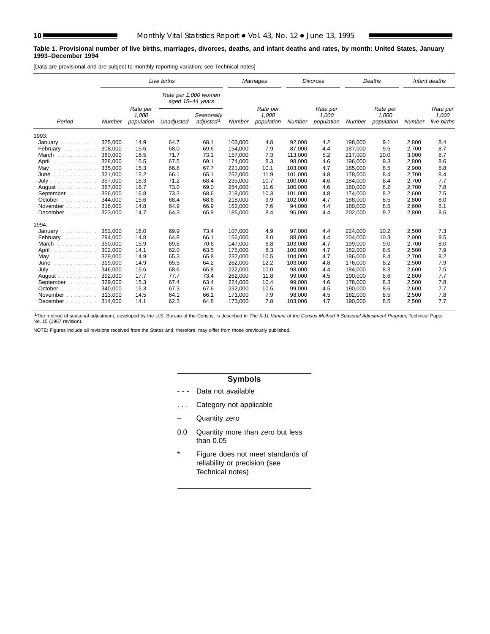#### **Table 1. Provisional number of live births, marriages, divorces, deaths, and infant deaths and rates, by month: United States, January 1993–December 1994**

[Data are provisional and are subject to monthly reporting variation; see Technical notes]

|                                       |         |                                 | Live births                              |                                     |         | Marriages                       |         | <b>Divorces</b>                 |         | Deaths                          |        | Infant deaths                    |
|---------------------------------------|---------|---------------------------------|------------------------------------------|-------------------------------------|---------|---------------------------------|---------|---------------------------------|---------|---------------------------------|--------|----------------------------------|
|                                       |         |                                 | Rate per 1,000 women<br>aged 15-44 years |                                     |         |                                 |         |                                 |         |                                 |        |                                  |
| Period                                | Number  | Rate per<br>1,000<br>population | Unadjusted                               | Seasonally<br>adjusted <sup>1</sup> | Number  | Rate per<br>1,000<br>population | Number  | Rate per<br>1,000<br>population | Number  | Rate per<br>1,000<br>population | Number | Rate per<br>1,000<br>live births |
| 1993:                                 |         |                                 |                                          |                                     |         |                                 |         |                                 |         |                                 |        |                                  |
| January $\ldots \ldots \ldots$        | 325,000 | 14.9                            | 64.7                                     | 68.1                                | 103,000 | 4.8                             | 92,000  | 4.2                             | 198,000 | 9.1                             | 2,800  | 8.4                              |
| February                              | 308,000 | 15.6                            | 68.0                                     | 69.6                                | 154,000 | 7.9                             | 87,000  | 4.4                             | 187,000 | 9.5                             | 2,700  | 8.7                              |
| March<br>.                            | 360,000 | 16.5                            | 71.7                                     | 73.1                                | 157,000 | 7.3                             | 113,000 | 5.2                             | 217,000 | 10.0                            | 3,000  | 8.7                              |
| April<br>.                            | 328,000 | 15.5                            | 67.5                                     | 69.1                                | 174,000 | 8.3                             | 98,000  | 4.6                             | 196,000 | 9.3                             | 2,800  | 8.6                              |
| May<br>.                              | 335,000 | 15.3                            | 66.8                                     | 67.7                                | 221,000 | 10.1                            | 103,000 | 4.7                             | 185,000 | 8.5                             | 2,900  | 8.8                              |
| June<br>.                             | 321,000 | 15.2                            | 66.1                                     | 65.1                                | 252,000 | 11.9                            | 101,000 | 4.8                             | 178,000 | 8.4                             | 2,700  | 8.4                              |
| July                                  | 357.000 | 16.3                            | 71.2                                     | 68.4                                | 235,000 | 10.7                            | 100,000 | 4.6                             | 184,000 | 8.4                             | 2,700  | 7.7                              |
| August $\ldots$ , $\ldots$            | 367.000 | 16.7                            | 73.0                                     | 69.0                                | 254,000 | 11.6                            | 100,000 | 4.6                             | 180,000 | 8.2                             | 2,700  | 7.8                              |
| September                             | 356,000 | 16.8                            | 73.3                                     | 68.6                                | 218,000 | 10.3                            | 101,000 | 4.8                             | 174,000 | 8.2                             | 2,600  | 7.5                              |
| October                               | 344.000 | 15.6                            | 68.4                                     | 68.6                                | 218,000 | 9.9                             | 102,000 | 4.7                             | 188.000 | 8.5                             | 2,800  | 8.0                              |
| November                              | 316,000 | 14.8                            | 64.9                                     | 66.9                                | 162,000 | 7.6                             | 94,000  | 4.4                             | 180.000 | 8.5                             | 2,600  | 8.1                              |
| December                              | 323,000 | 14.7                            | 64.3                                     | 65.9                                | 185,000 | 8.4                             | 96,000  | 4.4                             | 202,000 | 9.2                             | 2,800  | 8.6                              |
| 1994:                                 |         |                                 |                                          |                                     |         |                                 |         |                                 |         |                                 |        |                                  |
| January $\ldots$ , $\ldots$           | 352,000 | 16.0                            | 69.9                                     | 73.4                                | 107,000 | 4.9                             | 97,000  | 4.4                             | 224,000 | 10.2                            | 2,500  | 7.3                              |
| February                              | 294.000 | 14.8                            | 64.8                                     | 66.1                                | 156.000 | 8.0                             | 88.000  | 4.4                             | 204.000 | 10.3                            | 2,900  | 9.5                              |
| March                                 | 350,000 | 15.9                            | 69.6                                     | 70.6                                | 147,000 | 6.8                             | 103,000 | 4.7                             | 199,000 | 9.0                             | 2,700  | 8.0                              |
| April<br>.                            | 302,000 | 14.1                            | 62.0                                     | 63.5                                | 175,000 | 8.3                             | 100,000 | 4.7                             | 182,000 | 8.5                             | 2,500  | 7.9                              |
| May<br>.                              | 329.000 | 14.9                            | 65.3                                     | 65.8                                | 232,000 | 10.5                            | 104,000 | 4.7                             | 186.000 | 8.4                             | 2,700  | 8.2                              |
| June<br>.                             | 319.000 | 14.9                            | 65.5                                     | 64.2                                | 262,000 | 12.2                            | 103,000 | 4.8                             | 176.000 | 8.2                             | 2,500  | 7.9                              |
| July                                  | 346,000 | 15.6                            | 68.6                                     | 65.8                                | 222,000 | 10.0                            | 98,000  | 4.4                             | 184,000 | 8.3                             | 2,600  | 7.5                              |
| August $\ldots$ , $\ldots$ , $\ldots$ | 392,000 | 17.7                            | 77.7                                     | 73.4                                | 262,000 | 11.8                            | 99,000  | 4.5                             | 190,000 | 8.6                             | 2,800  | 7.7                              |
| September                             | 329.000 | 15.3                            | 67.4                                     | 63.4                                | 224,000 | 10.4                            | 99,000  | 4.6                             | 178.000 | 8.3                             | 2,500  | 7.8                              |
| October $\ldots$ , $\ldots$           | 340.000 | 15.3                            | 67.3                                     | 67.6                                | 232,000 | 10.5                            | 99,000  | 4.5                             | 190,000 | 8.6                             | 2,600  | 7.7                              |
| November $\ldots$ , $\ldots$          | 313.000 | 14.5                            | 64.1                                     | 66.1                                | 171,000 | 7.9                             | 98,000  | 4.5                             | 182,000 | 8.5                             | 2,500  | 7.8                              |
| December                              | 314.000 | 14.1                            | 62.3                                     | 64.8                                | 173,000 | 7.8                             | 103,000 | 4.7                             | 190,000 | 8.5                             | 2,500  | 7.7                              |

<sup>1</sup>The method of seasonal adjustment, developed by the U.S. Bureau of the Census, is described in The X-11 Variant of the Census Method II Seasonal Adjustment Program, Technical Paper<br>No. 15 (1967 revision).

NOTE: Figures include all revisions received from the States and, therefore, may differ from those previously published.

# **Symbols**

- - Data not available
- . . . Category not applicable
- Quantity zero
- 0.0 Quantity more than zero but less than 0.05
- \* Figure does not meet standards of reliability or precision (see Technical notes)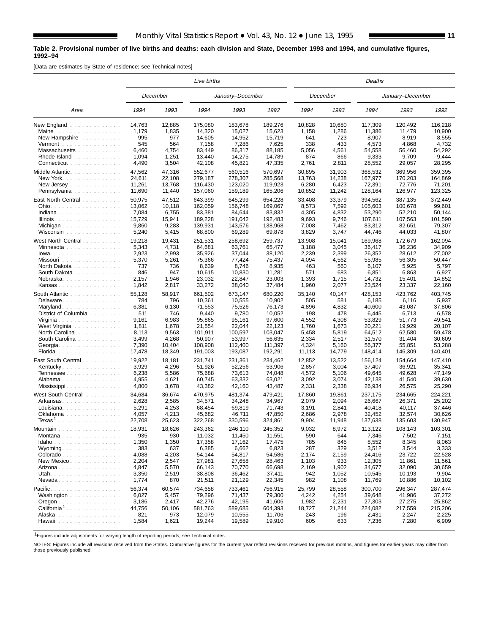#### **Table 2. Provisional number of live births and deaths: each division and State, December 1993 and 1994, and cumulative figures, 1992–94**

[Data are estimates by State of residence; see Technical notes]

|                                                                 |        |          | Live births |                  |         |        |          | Deaths  |                  |         |
|-----------------------------------------------------------------|--------|----------|-------------|------------------|---------|--------|----------|---------|------------------|---------|
|                                                                 |        | December |             | January-December |         |        | December |         | January-December |         |
| Area                                                            | 1994   | 1993     | 1994        | 1993             | 1992    | 1994   | 1993     | 1994    | 1993             | 1992    |
| New England                                                     | 14,763 | 12,885   | 175,080     | 183,678          | 189,276 | 10,828 | 10,680   | 117,309 | 120,492          | 116,218 |
| Maine.                                                          | 1,179  | 1,835    | 14,320      | 15.027           | 15,623  | 1,158  | 1,286    | 11,386  | 11,479           | 10,900  |
| New Hampshire $\ldots$                                          | 995    | 977      | 14,605      | 14,952           | 15,719  | 641    | 723      | 8,907   | 8,919            | 8,555   |
| $Vermont$                                                       | 545    | 564      | 7,158       | 7,286            | 7,625   | 338    | 433      | 4,573   | 4,868            | 4,732   |
| Massachusetts                                                   | 6,460  | 4,754    | 83,449      | 86,317           | 88,185  | 5,056  | 4,561    | 54,558  | 56,460           | 54,292  |
| Rhode Island                                                    | 1,094  | 1,251    | 13,440      | 14,275           | 14,789  | 874    | 866      | 9,333   | 9,709            | 9,444   |
| Connecticut                                                     | 4,490  | 3,504    | 42,108      | 45,821           | 47,335  | 2,761  | 2,811    | 28,552  | 29,057           | 28,295  |
| Middle Atlantic.                                                | 47,562 | 47,316   | 552,677     | 560,516          | 570,697 | 30,895 | 31,903   | 368,532 | 369,956          | 359,395 |
| New York.                                                       | 24,611 | 22,108   | 279,187     | 278,307          | 285,568 | 13,763 | 14,238   | 167,977 | 170,203          | 164,869 |
| New Jersey $\ldots$ $\ldots$ $\ldots$ $\ldots$ .                | 11,261 | 13,768   | 116,430     | 123,020          | 119,923 | 6,280  | 6,423    | 72,391  | 72,776           | 71,201  |
| Pennsylvania                                                    | 11,690 | 11,440   | 157,060     | 159,189          | 165,206 | 10,852 | 11,242   | 128,164 | 126,977          | 123,325 |
|                                                                 |        |          |             |                  |         |        |          |         |                  |         |
| East North Central                                              | 50,975 | 47,512   | 643,399     | 645,299          | 654,228 | 33,408 | 33,379   | 394,562 | 387,135          | 372,449 |
| Ohio.                                                           | 13,062 | 10,118   | 162,059     | 156,748          | 169,067 | 8,573  | 7,592    | 105,603 | 100,678          | 99,601  |
| Indiana                                                         | 7,084  | 6,755    | 83,381      | 84,644           | 83,832  | 4,305  | 4,832    | 53,290  | 52,210           | 50,144  |
| Illinois.                                                       | 15,729 | 15,941   | 189,228     | 191,042          | 192,483 | 9,693  | 9,746    | 107,611 | 107,563          | 101,590 |
| Michigan                                                        | 9,860  | 9,283    | 139,931     | 143,576          | 138,968 | 7,008  | 7,462    | 83,312  | 82,651           | 79,307  |
| Wisconsin                                                       | 5,240  | 5,415    | 68,800      | 69,289           | 69,878  | 3,829  | 3,747    | 44,746  | 44,033           | 41,807  |
| West North Central                                              | 19,218 | 19,431   | 251.531     | 258,692          | 259,737 | 13,908 | 15,041   | 169,968 | 172,679          | 162,094 |
| Minnesota                                                       | 5,343  | 4,731    | 64,681      | 63,761           | 65,477  | 3,188  | 3,045    | 36,417  | 36,236           | 34,909  |
| $Iowa.$                                                         | 2,923  | 2,993    | 35,926      | 37,044           | 38,120  | 2,239  | 2,399    | 26,352  | 28,612           | 27,002  |
| Missouri                                                        | 5,370  | 5,261    | 75,366      | 77,424           | 75,437  | 4,094  | 4,562    | 55,985  | 56,305           | 50,447  |
| North Dakota                                                    | 737    | 736      | 8,639       | 8,746            | 8,935   | 463    | 560      | 6,107   | 5,925            | 5,797   |
| South Dakota                                                    | 846    | 947      | 10,615      | 10,830           | 11,281  | 571    | 683      | 6,851   | 6,863            | 6,927   |
| Nebraska.                                                       | 2,157  | 1,946    | 23.032      | 22,847           | 23,003  | 1,393  | 1,715    | 14,732  | 15,401           | 14,852  |
| Kansas                                                          | 1,842  | 2,817    | 33,272      | 38,040           | 37,484  | 1,960  | 2,077    | 23,524  | 23,337           | 22,160  |
|                                                                 |        |          |             |                  |         |        |          |         |                  |         |
| South Atlantic                                                  | 55,128 | 58,917   | 661,502     | 673,147          | 680,220 | 35,140 | 40,147   | 428,153 | 423,762          | 403,745 |
| Delaware                                                        | 784    | 796      | 10,361      | 10,555           | 10,902  | 505    | 581      | 6,185   | 6,116            | 5,937   |
| Maryland                                                        | 6,381  | 6,130    | 71,553      | 75,526           | 76,173  | 4,896  | 4,832    | 40,600  | 43,087           | 37,806  |
| District of Columbia                                            | 511    | 746      | 9,440       | 9,780            | 10,052  | 198    | 478      | 6,445   | 6,713            | 6,578   |
| Virginia                                                        | 9,161  | 6,983    | 95,865      | 95,161           | 97,600  | 4,552  | 4,308    | 53,829  | 51,773           | 49,541  |
| West Virginia                                                   | 1,811  | 1,678    | 21,554      | 22,044           | 22,123  | 1,760  | 1,673    | 20,221  | 19,929           | 20,107  |
| North Carolina                                                  | 8,113  | 9,563    | 101,911     | 100,597          | 103,047 | 5,458  | 5,819    | 64,512  | 62,580           | 59,478  |
| South Carolina                                                  | 3,499  | 4,268    | 50,907      | 53,997           | 56,635  | 2,334  | 2,517    | 31,570  | 31,404           | 30,609  |
| Georgia.                                                        | 7,390  | 10,404   | 108,908     | 112,400          | 111,397 | 4,324  | 5,160    | 56,377  | 55,851           | 53,288  |
| Florida                                                         | 17,478 | 18,349   | 191,003     | 193,087          | 192,291 | 11,113 | 14,779   | 148,414 | 146,309          | 140,401 |
| East South Central                                              | 19,922 | 18,181   | 231,741     | 231,361          | 234,462 | 12,852 | 13,522   | 156,124 | 154,664          | 147,410 |
| Kentucky                                                        | 3,929  | 4,296    | 51,926      | 52,256           | 53,906  | 2,857  | 3,004    | 37,407  | 36,921           | 35,341  |
| Tennessee                                                       | 6,238  | 5,586    | 75,688      | 73,613           | 74,048  | 4,572  | 5,106    | 49,645  | 49,628           | 47,149  |
| Alabama                                                         | 4,955  | 4,621    | 60,745      | 63,332           | 63,021  | 3,092  | 3,074    | 42,138  | 41,540           | 39,630  |
|                                                                 | 4,800  | 3,678    | 43,382      | 42,160           | 43,487  | 2,331  | 2,338    | 26,934  | 26,575           | 25,290  |
| Mississippi                                                     |        |          |             |                  |         |        |          |         |                  |         |
| West South Central                                              | 34,684 | 36,674   | 470,975     | 481,374          | 479,421 | 17,860 | 19,861   | 237,175 | 234,665          | 224,221 |
| Arkansas                                                        | 2,628  | 2,585    | 34,571      | 34.248           | 34,967  | 2,079  | 2,094    | 26.667  | 26,371           | 25,202  |
| Louisiana                                                       | 5,291  | 4,253    | 68,454      | 69,819           | 71,743  | 3,191  | 2,841    | 40,418  | 40,117           | 37,446  |
| Oklahoma                                                        | 4,057  | 4,213    | 45,682      | 46,711           | 47,850  | 2,686  | 2,978    | 32,452  | 32,574           | 30,626  |
| $T$ exas $^1$                                                   | 22,708 | 25,623   | 322,268     | 330,596          | 324,861 | 9,904  | 11,948   | 137,638 | 135,603          | 130,947 |
| Mountain                                                        | 18,931 | 18,626   | 243,362     | 246,110          | 245,352 | 9,032  | 8,972    | 113,122 | 108,143          | 103,301 |
| Montana                                                         | 935    | 930      | 11,032      | 11,450           | 11,551  | 590    | 644      | 7,346   | 7,502            | 7,151   |
| $Idaho$                                                         | 1,350  | 1,350    | 17,358      | 17,162           | 17,475  | 785    | 845      | 8,552   | 8,345            | 8,063   |
| Wyoming                                                         | 383    | 637      | 6,385       | 6,662            | 6,823   | 287    | 329      | 3,512   | 3,544            | 3,333   |
|                                                                 |        | 4,203    | 54,144      |                  | 54,586  |        |          |         | 23,722           |         |
| Colorado                                                        | 4,088  |          |             | 54,817           |         | 2,174  | 2,159    | 24,416  |                  | 22,528  |
| New Mexico                                                      | 2,204  | 2,547    | 27,981      | 27,658           | 28,463  | 1,103  | 933      | 12,305  | 11,861           | 11,561  |
| Arizona                                                         | 4,847  | 5,570    | 66,143      | 70,770           | 66,698  | 2,169  | 1,902    | 34,677  | 32,090           | 30,659  |
| Utah.                                                           | 3,350  | 2,519    | 38,808      | 36,462           | 37,411  | 942    | 1,052    | 10,545  | 10.193           | 9,904   |
| $N$ evada                                                       | 1,774  | 870      | 21,511      | 21,129           | 22,345  | 982    | 1,108    | 11,769  | 10,886           | 10,102  |
| Pacific.                                                        | 56,374 | 60,574   | 734,658     | 733,461          | 756,915 | 25,799 | 28,558   | 300,700 | 296,347          | 287,474 |
| Washington                                                      | 6,027  | 5,457    | 79,296      | 71,437           | 79,300  | 4,242  | 4,254    | 39,648  | 41,986           | 37,272  |
| $O$ regon $\ldots$ $\ldots$ $\ldots$ $\ldots$ $\ldots$ $\ldots$ | 3,186  | 2,417    | 42,276      | 42,195           | 41,606  | 1,982  | 2,231    | 27,303  | 27,275           | 25,862  |
| California <sup>1</sup>                                         | 44,756 | 50,106   | 581,763     | 589,685          | 604,393 | 18,727 | 21,244   | 224,082 | 217,559          | 215,206 |
| Alaska                                                          | 821    | 973      | 12,079      | 10,555           | 11,706  | 243    | 196      | 2,431   | 2,247            | 2,225   |
| Hawaii                                                          | 1,584  | 1,621    | 19,244      | 19,589           | 19,910  | 605    | 633      | 7,236   | 7,280            | 6,909   |
|                                                                 |        |          |             |                  |         |        |          |         |                  |         |

1Figures include adjustments for varying length of reporting periods; see Technical notes.

NOTES: Figures include all revisions received from the States. Cumulative figures for the current year reflect revisions received for previous months, and figures for earlier years may differ from those previously published.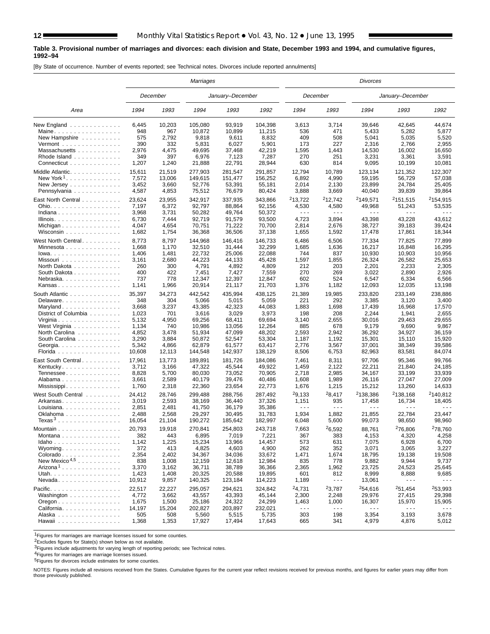#### **Table 3. Provisional number of marriages and divorces: each division and State, December 1993 and 1994, and cumulative figures, 1992–94**

[By State of occurrence. Number of events reported; see Technical notes. Divorces include reported annulments]

|                                                                 |        |          | Marriages |                  |         |                      |                      | <b>Divorces</b>      |                      |                      |
|-----------------------------------------------------------------|--------|----------|-----------|------------------|---------|----------------------|----------------------|----------------------|----------------------|----------------------|
|                                                                 |        | December |           | January-December |         |                      | December             |                      | January-December     |                      |
| Area                                                            | 1994   | 1993     | 1994      | 1993             | 1992    | 1994                 | 1993                 | 1994                 | 1993                 | 1992                 |
| New England                                                     | 6,445  | 10,203   | 105,080   | 93,919           | 104,398 | 3,613                | 3,714                | 39,646               | 42,645               | 44,674               |
| Maine                                                           | 948    | 967      | 10,872    | 10,899           | 11,215  | 536                  | 471                  | 5,433                | 5,282                | 5,877                |
| New Hampshire                                                   | 575    | 2,792    | 9,818     | 9,611            | 8,832   | 409                  | 508                  | 5,041                | 5,035                | 5,520                |
| Vermont $\dots\dots\dots\dots\dots\dots$                        | 390    | 332      | 5,831     | 6,027            | 5,901   | 173                  | 227                  | 2,316                | 2,766                | 2,955                |
| Massachusetts                                                   | 2,976  | 4,475    | 49,695    | 37,468           | 42,219  | 1,595                | 1,443                | 14,530               | 16,002               | 16,650               |
| Rhode Island                                                    | 349    | 397      | 6,976     | 7,123            | 7,287   | 270                  | 251                  | 3,231                | 3,361                | 3,591                |
| Connecticut                                                     | 1,207  | 1,240    | 21,888    | 22,791           | 28,944  | 630                  | 814                  | 9,095                | 10,199               | 10,081               |
| Middle Atlantic.                                                | 15,611 | 21,519   | 277,903   | 281,547          | 291,857 | 12,794               | 10,789               | 123,134              | 121,352              | 122,307              |
| New York <sup>1</sup> .                                         | 7,572  | 13,006   | 149.615   | 151,477          | 156,252 | 6,892                | 4,990                | 59,195               | 56,729               | 57,038               |
|                                                                 | 3,452  | 3,660    | 52.776    | 53,391           | 55,181  | 2,014                | 2,130                | 23,899               | 24,784               | 25,405               |
| Pennsylvania                                                    | 4,587  | 4,853    | 75,512    | 76,679           | 80,424  | 3,888                | 3,669                | 40,040               | 39,839               | 39,864               |
| East North Central                                              | 23,624 | 23,955   | 342,917   | 337,935          | 343,866 | <sup>2</sup> 13,722  | <sup>2</sup> 12,742  | <sup>2</sup> 149,571 | <sup>2</sup> 151,515 | <sup>2</sup> 154,915 |
| Ohio.                                                           | 7,197  | 6,372    | 92,797    | 88,864           | 92,156  | 4,530                | 4,580                | 49,968               | 51,243               | 53,535               |
| Indiana                                                         | 3,968  | 3,731    | 50,282    | 49,764           | 50,372  | $\sim$ $\sim$ $\sim$ | $\sim$ $\sim$ $\sim$ | $\sim$ $\sim$ $\sim$ | $\sim$ $\sim$ $\sim$ | .                    |
| Illinois.                                                       | 6,730  | 7,444    | 92,719    | 91,579           | 93,500  | 4,723                | 3,894                | 43,398               | 43,228               | 43,612               |
|                                                                 | 4,047  | 4,654    | 70,751    | 71,222           | 70,700  | 2,814                | 2,676                | 38,727               | 39,183               | 39,424               |
| Wisconsin                                                       | 1,682  | 1,754    | 36,368    | 36,506           | 37,138  | 1,655                | 1,592                | 17,478               | 17,861               | 18,344               |
| West North Central.                                             | 8,773  | 8,797    | 144,968   | 146,416          | 146,733 | 6,486                | 6,506                | 77,334               | 77,825               | 77,899               |
| Minnesota                                                       | 1,668  | 1,170    | 32,510    | 31,444           | 32,299  | 1,685                | 1,636                | 16,217               | 16,848               | 16,295               |
| $lowa.$                                                         | 1,406  | 1,481    | 22,732    | 25,006           | 22,088  | 744                  | 837                  | 10.930               | 10,903               | 10,956               |
| Missouri                                                        | 3,161  | 2,680    | 44,223    | 44,133           | 45,428  | 1,597                | 1,855                | 26,324               | 26,582               | 25,653               |
| North Dakota                                                    | 260    | 300      | 4,791     | 4,892            | 4,809   | 212                  | 203                  | 2,201                | 2,233                | 2,305                |
| South Dakota                                                    | 400    | 422      | 7,451     | 7,427            | 7,559   | 270                  | 269                  | 3,022                | 2,890                | 2,926                |
| Nebraska                                                        | 737    | 778      | 12,347    | 12,397           | 12,847  | 602                  | 524                  | 6,547                | 6,334                | 6,566                |
| Kansas                                                          | 1,141  | 1,966    | 20,914    | 21,117           | 21,703  | 1,376                | 1,182                | 12,093               | 12,035               | 13,198               |
| South Atlantic                                                  | 35,397 | 34,273   | 442,542   | 435,994          | 438,125 | 21,389               | 19,985               | 233,820              | 233,149              | 238,886              |
| Delaware.                                                       | 348    | 304      | 5,066     | 5,015            | 5,059   | 221                  | 292                  | 3,385                | 3,120                | 3,400                |
| Maryland                                                        | 3,668  | 3,237    | 43,385    | 42,323           | 44,083  | 1,883                | 1,698                | 17,439               | 16,968               | 17,570               |
| District of Columbia                                            | 1,023  | 701      | 3,616     | 3,029            | 3,973   | 198                  | 208                  | 2,244                | 1,941                | 2,655                |
| Virginia                                                        | 5,132  | 4,950    | 69,256    | 68,411           | 69,694  | 3,140                | 2.655                | 30,016               | 29,463               | 29,655               |
| West Virginia                                                   | 1,134  | 740      | 10,986    | 13,056           | 12,264  | 885                  | 678                  | 9,179                | 9,690                | 9,867                |
| North Carolina                                                  | 4,852  | 3,478    | 51,934    | 47,099           | 48,202  | 2,593                | 2,942                | 36,292               | 34,927               | 36,159               |
| South Carolina                                                  | 3,290  | 3,884    | 50,872    | 52,547           | 53,304  | 1,187                | 1,192                | 15,301               | 15,110               | 15,920               |
| Georgia.                                                        | 5,342  | 4,866    | 62,879    | 61,577           | 63,417  | 2,776                | 3,567                | 37,001               | 38,349               | 39,586               |
| Florida                                                         | 10,608 | 12,113   | 144,548   | 142,937          | 138,129 | 8,506                | 6,753                | 82,963               | 83,581               | 84,074               |
| East South Central                                              | 17,961 | 13,773   | 189,891   | 181,726          | 184,086 | 7,461                | 8,311                | 97,706               | 95,346               | 99,766               |
| Kentucky                                                        | 3,712  | 3,166    | 47,322    | 45,544           | 49,922  | 1,459                | 2,122                | 22,211               | 21,840               | 24,185               |
| Tennessee                                                       | 8,828  | 5,700    | 80,030    | 73,052           | 70,905  | 2,718                | 2,985                | 34,167               | 33,199               | 33,939               |
| Alabama                                                         | 3,661  | 2,589    | 40,179    | 39,476           | 40,486  | 1,608                | 1,989                | 26,116               | 27,047               | 27,009               |
| Mississippi                                                     | 1,760  | 2,318    | 22,360    | 23,654           | 22,773  | 1,676                | 1,215                | 15,212               | 13,260               | 14,633               |
| West South Central                                              | 24,412 | 28,746   | 299,488   | 288.756          | 287,492 | 29,133               | 28,417               | <sup>2</sup> 138,386 | <sup>2</sup> 138,168 | 2140,812             |
| Arkansas                                                        | 3,019  | 2,593    | 38,169    | 36,440           | 37,326  | 1,151                | 935                  | 17,458               | 16,734               | 18.405               |
| Louisiana                                                       | 2,851  | 2,481    | 41,750    | 36.179           | 35,386  | $\sim$ $\sim$ $\sim$ | $\sim$ $\sim$ $\sim$ | $ -$                 | $  -$                |                      |
| Oklahoma                                                        | 2,488  | 2,568    | 29,297    | 30,495           | 31,783  | 1,934                | 1,882                | 21,855               | 22,784               | 23,447               |
| Texas <sup>3</sup>                                              | 16,054 | 21,104   | 190,272   | 185,642          | 182,997 | 6,048                | 5,600                | 99,073               | 98,650               | 98,960               |
| Mountain                                                        | 20,793 | 19,918   | 270,841   | 254,803          | 243,718 | 7,663                | 26,592               | 88,761               | <sup>2</sup> 76.806  | 278,760              |
| Montana                                                         | 382    | 443      | 6,895     | 7,019            | 7,221   | 367                  | 383                  | 4,153                | 4,320                | 4,258                |
| $Idaho \ldots \ldots \ldots \ldots$                             | 1,142  | 1,225    | 15,234    | 13,966           | 14,457  | 573                  | 631                  | 7,075                | 6,928                | 6,700                |
| Wyoming. $\ldots$                                               | 372    | 413      | 4,825     | 4,603            | 4,900   | 262                  | 352                  | 3,071                | 3,065                | 3,227                |
| Colorado                                                        | 2,354  | 2,402    | 34,367    | 34,036           | 33,672  | 1,471                | 1,674                | 18,795               | 19,138               | 19,508               |
| New Mexico <sup>4,5</sup>                                       | 838    | 1,008    | 12,159    | 12,618           | 12,984  | 835                  | 778                  | 9,882                | 9,944                | 9,737                |
| Arizona <sup>1</sup>                                            | 3,370  | 3,162    | 36,711    | 38,789           | 36,366  | 2,365                | 1,962                | 23,725               | 24,523               | 25,645               |
| Utah.                                                           | 1,423  | 1,408    | 20,325    | 20,588           | 19,895  | 601                  | 812                  | 8,999                | 8,888                | 9,685                |
| $N$ evada                                                       | 10,912 | 9,857    | 140,325   | 123,184          | 114,223 | 1,189                | $\sim$ $\sim$ $\sim$ | 13,061               | $\sim$ $\sim$ $\sim$ | .                    |
| Pacific.                                                        | 22,517 | 22,227   | 295,057   | 294,621          | 324,842 | <sup>2</sup> 4,731   | 23,787               | <sup>2</sup> 54,616  | 251,454              | 253.993              |
| Washington                                                      | 4,772  | 3,662    | 43,557    | 43,393           | 45,144  | 2,300                | 2,248                | 29,976               | 27,415               | 29,398               |
| $O$ regon $\ldots$ $\ldots$ $\ldots$ $\ldots$ $\ldots$ $\ldots$ | 1,675  | 1,500    | 25,186    | 24,322           | 24,299  | 1,463                | 1,000                | 16,307               | 15,970               | 15,905               |
| California                                                      | 14,197 | 15,204   | 202,827   | 203,897          | 232,021 | $\sim$ $\sim$ $\sim$ | $\sim$ $\sim$ $\sim$ | $\sim$ $\sim$ $\sim$ | $\sim$ $\sim$ $\sim$ | $- - -$              |
| Alaska                                                          | 505    | 508      | 5,560     | 5,515            | 5,735   | 303                  | 198                  | 3,354                | 3,193                | 3,678                |
| Hawaii                                                          | 1,368  | 1,353    | 17,927    | 17,494           | 17,643  | 665                  | 341                  | 4,979                | 4,876                | 5,012                |

1Figures for marriages are marriage licenses issued for some counties.

2Excludes figures for State(s) shown below as not available.

**3Figures include adjustments for varying length of reporting periods; see Technical notes.** 

4Figures for marriages are marriage licenses issued.

5Figures for divorces include estimates for some counties.

NOTES: Figures include all revisions received from the States. Cumulative figures for the current year reflect revisions received for previous months, and figures for earlier years may differ from those previously published.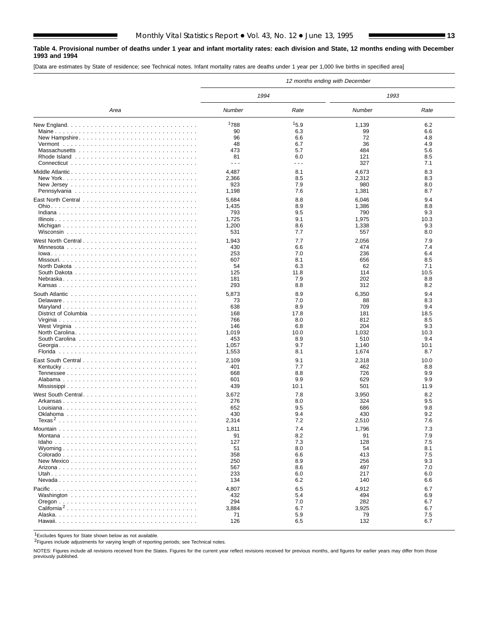### **Table 4. Provisional number of deaths under 1 year and infant mortality rates: each division and State, 12 months ending with December 1993 and 1994**

[Data are estimates by State of residence; see Technical notes. Infant mortality rates are deaths under 1 year per 1,000 live births in specified area]

|                    |                      |                      | 12 months ending with December |      |
|--------------------|----------------------|----------------------|--------------------------------|------|
|                    | 1994                 |                      | 1993                           |      |
| Area               | Number               | Rate                 | Number                         | Rate |
|                    | 1788                 | 15.9                 | 1,139                          | 6.2  |
|                    | 90                   | 6.3                  | 99                             | 6.6  |
|                    | 96                   | 6.6                  | 72                             | 4.8  |
|                    | 48                   | 6.7                  | 36                             | 4.9  |
|                    | 473                  | 5.7                  | 484                            | 5.6  |
|                    | 81                   | 6.0                  | 121                            | 8.5  |
|                    | $\sim$ $\sim$ $\sim$ | $\sim$ $\sim$ $\sim$ | 327                            | 7.1  |
| Middle Atlantic    | 4,487                | 8.1                  | 4,673                          | 8.3  |
|                    | 2,366                | 8.5                  | 2,312                          | 8.3  |
|                    | 923                  | 7.9                  | 980                            | 8.0  |
|                    | 1,198                | 7.6                  | 1,381                          | 8.7  |
|                    |                      |                      |                                |      |
|                    | 5,684                | 8.8                  | 6,046                          | 9.4  |
|                    | 1,435                | 8.9                  | 1,386                          | 8.8  |
|                    | 793                  | 9.5                  | 790                            | 9.3  |
|                    | 1,725                | 9.1                  | 1,975                          | 10.3 |
|                    | 1,200                | 8.6                  | 1,338                          | 9.3  |
|                    | 531                  | 7.7                  | 557                            | 8.0  |
| West North Central | 1,943                | 7.7                  | 2,056                          | 7.9  |
|                    | 430                  | 6.6                  | 474                            | 7.4  |
|                    | 253                  | 7.0                  | 236                            | 6.4  |
|                    | 607                  | 8.1                  | 656                            | 8.5  |
|                    | 54                   | 6.3                  | 62                             | 7.1  |
|                    | 125                  | 11.8                 | 114                            | 10.5 |
|                    | 181                  | 7.9                  | 202                            | 8.8  |
|                    | 293                  | 8.8                  | 312                            | 8.2  |
|                    | 5,873                | 8.9                  | 6,350                          | 9.4  |
| Delaware           | 73                   | 7.0                  | 88                             | 8.3  |
|                    | 638                  | 8.9                  | 709                            | 9.4  |
|                    | 168                  | 17.8                 | 181                            | 18.5 |
|                    | 766                  | 8.0                  | 812                            | 8.5  |
|                    | 146                  | 6.8                  | 204                            | 9.3  |
|                    | 1,019                | 10.0                 | 1,032                          | 10.3 |
|                    | 453                  | 8.9                  | 510                            | 9.4  |
|                    | 1,057                | 9.7                  | 1,140                          | 10.1 |
|                    | 1,553                | 8.1                  | 1,674                          | 8.7  |
|                    | 2,109                | 9.1                  | 2,318                          | 10.0 |
|                    | 401                  | 7.7                  | 462                            | 8.8  |
|                    | 668                  | 8.8                  | 726                            | 9.9  |
|                    | 601                  | 9.9                  | 629                            | 9.9  |
|                    | 439                  | 10.1                 | 501                            | 11.9 |
| West South Central | 3,672                | 7.8                  | 3,950                          | 8.2  |
|                    | 276                  | 8.0                  | 324                            | 9.5  |
|                    | 652                  | 9.5                  | 686                            | 9.8  |
|                    | 430                  | 9.4                  | 430                            | 9.2  |
|                    | 2,314                | 7.2                  | 2,510                          | 7.6  |
|                    | 1,811                | 7.4                  | 1,796                          | 7.3  |
|                    | 91                   | 8.2                  | 91                             | 7.9  |
|                    | 127                  | 7.3                  | 128                            | 7.5  |
|                    | 51                   | 8.0                  | 54                             | 8.1  |
|                    | 358                  | 6.6                  | 413                            | 7.5  |
|                    | 250                  | 8.9                  | 256                            | 9.3  |
|                    | 567                  | 8.6                  | 497                            | 7.0  |
|                    | 233                  | 6.0                  | 217                            | 6.0  |
|                    | 134                  | 6.2                  | 140                            | 6.6  |
|                    | 4,807                | 6.5                  | 4,912                          | 6.7  |
|                    | 432                  | 5.4                  | 494                            | 6.9  |
|                    | 294                  | 7.0                  | 282                            | 6.7  |
|                    | 3,884                | 6.7                  | 3,925                          | 6.7  |
|                    | 71                   | 5.9                  | 79                             | 7.5  |
|                    | 126                  | 6.5                  | 132                            | 6.7  |
|                    |                      |                      |                                |      |

1Excludes figures for State shown below as not available.

2Figures include adjustments for varying length of reporting periods; see Technical notes.

NOTES: Figures include all revisions received from the States. Figures for the current year reflect revisions received for previous months, and figures for earlier years may differ from those previously published.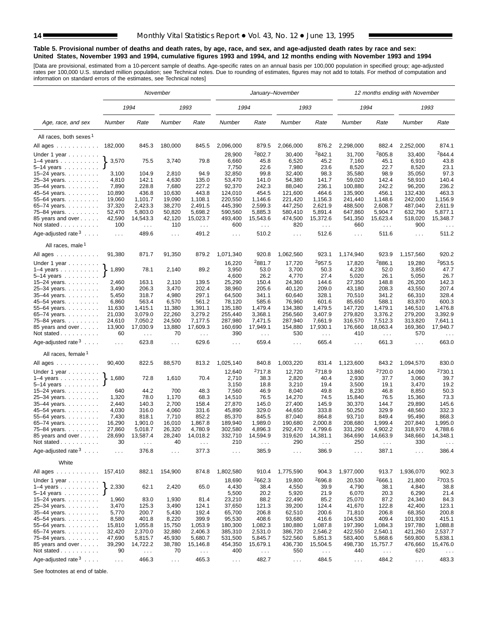#### **Table 5. Provisional number of deaths and death rates, by age, race, and sex, and age-adjusted death rates by race and sex: United States, November 1993 and 1994, cumulative figures 1993 and 1994, and 12 months ending with November 1993 and 1994**

[Data are provisional, estimated from a 10-percent sample of deaths. Age-specific rates on an annual basis per 100,000 population in specified group; age-adjusted<br>rates per 100,000 U.S. standard million population; see Tec

|                                          |               |                                         | November       |                                  |                      |                        | January-November    |                                  |                      |                           | 12 months ending with November |                                  |
|------------------------------------------|---------------|-----------------------------------------|----------------|----------------------------------|----------------------|------------------------|---------------------|----------------------------------|----------------------|---------------------------|--------------------------------|----------------------------------|
|                                          |               | 1994                                    |                | 1993                             | 1994                 |                        | 1993                |                                  | 1994                 |                           | 1993                           |                                  |
| Age, race, and sex                       | Number        | Rate                                    | Number         | Rate                             | Number               | Rate                   | Number              | Rate                             | Number               | Rate                      | Number                         | Rate                             |
| All races, both sexes <sup>1</sup>       |               |                                         |                |                                  |                      |                        |                     |                                  |                      |                           |                                |                                  |
| All ages                                 | 182,000       | 845.3                                   | 180,000        | 845.5                            | 2,096,000            | 879.5                  | 2,066,000           | 876.2                            | 2,298,000            | 882.4                     | 2,252,000                      | 874.1                            |
|                                          |               |                                         |                |                                  |                      | <sup>2</sup> 802.7     |                     | 2842.1                           |                      | 2805.8                    |                                | ${}^{2}844.4$                    |
| Under 1 year $\ldots \ldots$             | 3,570         | 75.5                                    | 3,740          | 79.8                             | 28,900<br>6,660      | 45.8                   | 30,400<br>6,520     | 45.2                             | 31,700<br>7,160      | 45.1                      | 33,400<br>6,910                | 43.8                             |
| $1-4$ years<br>5-14 years                |               |                                         |                |                                  | 7,750                | 22.6                   | 7,980               | 23.6                             | 8,520                | 22.7                      | 8,520                          | 23.1                             |
| 15-24 years.                             | 3,100         | 104.9                                   | 2,810          | 94.9                             | 32,850               | 99.8                   | 32,400              | 98.3                             | 35,580               | 98.9                      | 35,050                         | 97.3                             |
| 25-34 years.                             | 4,810         | 142.1                                   | 4,630          | 135.0                            | 53,470               | 141.0                  | 54,380              | 141.7                            | 59,020               | 142.4                     | 58,910                         | 140.4                            |
| 35-44 years.                             | 7,890         | 228.8                                   | 7,680          | 227.2                            | 92,370               | 242.3                  | 88,040              | 236.1                            | 100,880              | 242.2                     | 96,200                         | 236.2                            |
| 45-54 years.                             | 10,890        | 436.8                                   | 10,630         | 443.8                            | 124,010              | 454.5                  | 121,600             | 464.6                            | 135,900              | 456.1                     | 132,430                        | 463.3                            |
| 55-64 years.                             | 19,060        | 1.101.7                                 | 19,090         | 1.108.1                          | 220,550              | 1,146.6                | 221,420             | 1,156.3                          | 241,440              | 1,148.6                   | 242,000                        | 1,156.9                          |
| 65-74 years.                             | 37,320        | 2,423.3                                 | 38,270         | 2,491.5                          | 445,390              | 2,599.3                | 447,250             | 2,621.9                          | 488,500              | 2,608.7                   | 487,040                        | 2,611.9                          |
| 75-84 years.                             | 52,470        | 5,803.0                                 | 50,820         | 5,698.2                          | 590,560              | 5,885.3                | 580,410             | 5,891.4                          | 647,860              | 5,904.7                   | 632,790                        | 5,877.1                          |
| 85 years and over                        | 42,590        | 14,543.3                                | 42,120         | 15,023.7                         | 493,400              | 15,543.6               | 474,500             | 15,372.6                         | 541,350              | 15,623.4                  | 518,020                        | 15,348.7                         |
| Not stated                               | 100           | $\mathcal{L}^{\mathcal{L}}$             | 110            | $\sim$ $\sim$                    | 600                  | $\sim$ $\sim$          | 820                 | $\sim$ $\sim$                    | 660                  | $\sim$                    | 900                            |                                  |
| Age-adjusted rate $3 \ldots$ .           | $\ldots$      | 489.6                                   | $\ldots$       | 491.2                            | $\sim 100$           | 510.2                  | $\sim 100$          | 512.6                            | $\sim 100$           | 511.6                     | $\sim 100$                     | 511.2                            |
| All races, male <sup>1</sup>             |               |                                         |                |                                  |                      |                        |                     |                                  |                      |                           |                                |                                  |
| All ages $\dots$ $\dots$ $\dots$ $\dots$ | 91,380        | 871.7                                   | 91,350         | 879.2                            | 1,071,340            | 920.8                  | 1,062,560           | 923.1                            | 1,174,940            | 923.9                     | 1,157,560                      | 920.2                            |
| Under 1 year                             |               |                                         |                |                                  | 16,220               | 2881.7                 | 17,720              | 2957.5                           | 17,820               | <sup>2</sup> 886.1        | 19,280                         | 2953.5                           |
| $1-4$ years                              | 1,890         | 78.1                                    | 2,140          | 89.2                             | 3,950                | 53.0                   | 3,700               | 50.3                             | 4,230                | 52.0                      | 3,850                          | 47.7                             |
| $5-14$ years                             | 2,460         | 163.1                                   | 2,110          | 139.5                            | 4,600<br>25,290      | 26.2<br>150.4          | 4,770<br>24,360     | 27.4<br>144.6                    | 5,020<br>27,350      | 26.1<br>148.8             | 5,050<br>26,200                | 26.7<br>142.3                    |
| 15–24 years. $\ldots$<br>25-34 years.    | 3,490         | 206.3                                   | 3,470          | 202.4                            | 38,960               | 205.6                  | 40,120              | 209.0                            | 43,180               | 208.3                     | 43,550                         | 207.4                            |
| 35-44 years.                             | 5,450         | 318.7                                   | 4,980          | 297.1                            | 64,500               | 341.1                  | 60,640              | 328.1                            | 70,510               | 341.2                     | 66,310                         | 328.4                            |
| 45-54 years.                             | 6,860         | 563.4                                   | 6,570          | 561.2                            | 78,120               | 585.6                  | 76,960              | 601.6                            | 85,650               | 588.1                     | 83,870                         | 600.3                            |
| 55–64 years.                             | 11,630        | 1,415.1                                 | 11,380         | 1,391.1                          | 135,180              | 1,479.4                | 134,380             | 1,479.5                          | 147,720              | 1,479.1                   | 146,510                        | 1,476.8                          |
| 65-74 years.                             | 21,030        | 3,079.0                                 | 22,260         | 3,279.2                          | 255,440              | 3,368.1                | 256,560             | 3,407.9                          | 279,820              | 3,376.2                   | 279,200                        | 3,392.9                          |
| 75–84 years                              | 24,610        | 7,050.2                                 | 24,500         | 7,177.5                          | 287,980              | 7,471.5                | 287,940             | 7,661.9                          | 316,570              | 7,512.3                   | 313,820                        | 7,641.1                          |
| 85 years and over<br>Not stated          | 13,900<br>60  | 17,030.9<br>$\mathcal{L}^{\mathcal{L}}$ | 13,880<br>70   | 17,609.3<br>$\sim$ $\sim$ $\sim$ | 160,690<br>390       | 17,949.1<br>$\sim 100$ | 154,880<br>530      | 17,930.1<br>$\sim$ $\sim$ $\sim$ | 176,660<br>410       | 18,063.4<br>$\sim$ $\sim$ | 169,360<br>570                 | 17,940.7<br>$\sim$ $\sim$ $\sim$ |
| Age-adjusted rate $3 \ldots$ .           | $\cdots$      | 623.8                                   | $\ldots$       | 629.6                            | $\sim 100$           | 659.4                  | $\ldots$            | 665.4                            | $\ldots$             | 661.3                     | $\ldots$                       | 663.0                            |
| All races, female <sup>1</sup>           |               |                                         |                |                                  |                      |                        |                     |                                  |                      |                           |                                |                                  |
| All ages                                 | 90,400        | 822.5                                   | 88,570         | 813.2                            | 1,025,140            | 840.8                  | 1,003,220           | 831.4                            | 1,123,600            | 843.2                     | 1,094,570                      | 830.0                            |
| Under 1 year                             |               |                                         |                |                                  | 12,640               | 2717.8                 | 12,720              | <sup>2</sup> 718.9               | 13,860               | 2720.0                    | 14,090                         | <sup>2</sup> 730.1               |
| $1-4$ years<br>5-14 years                | 1,680         | 72.8                                    | 1,610          | 70.4                             | 2,710<br>3,150       | 38.3<br>18.8           | 2,820<br>3,210      | 40.4<br>19.4                     | 2,930<br>3,500       | 37.7<br>19.1              | 3,060<br>3,470                 | 39.7<br>19.2                     |
| 15-24 years.                             | 640           | 44.2                                    | 700            | 48.3                             | 7,560                | 46.9                   | 8,040               | 49.8                             | 8,230                | 46.8                      | 8,850                          | 50.3                             |
| 25-34 years.                             | 1,320         | 78.0                                    | 1,170          | 68.3                             | 14,510               | 76.5                   | 14,270              | 74.5                             | 15,840               | 76.5                      | 15,360                         | 73.3                             |
| 35-44 years.                             | 2,440         | 140.3                                   | 2,700          | 158.4                            | 27,870               | 145.0                  | 27,400              | 145.9                            | 30,370               | 144.7                     | 29,890                         | 145.6                            |
| 45-54 years.                             | 4,030         | 316.0                                   | 4,060          | 331.6                            | 45,890               | 329.0                  | 44,650              | 333.8                            | 50,250               | 329.9                     | 48,560                         | 332.3                            |
| 55-64 years.                             | 7,430         | 818.1                                   | 7,710          | 852.2                            | 85,370               | 845.5                  | 87,040              | 864.8                            | 93,710               | 849.4                     | 95,490                         | 868.3                            |
| 65-74 years.                             | 16,290        | 1,901.0                                 | 16,010         | 1,867.8                          | 189,940              | 1,989.0                | 190,680             | 2,000.8                          | 208,680              | 1,999.4                   | 207,840                        | 1,995.0                          |
| 75–84 years.                             | 27,860        | 5,018.7                                 | 26,320         | 4,780.9                          | 302,580              | 4,896.3                | 292,470             | 4,799.6                          | 331,290              | 4,902.2                   | 318,970                        | 4,788.6                          |
| 85 years and over                        | 28,690        | 13,587.4                                | 28,240         | 14,018.2                         | 332,710              | 14,594.9               | 319,620             | 14,381.1                         | 364,690              | 14,663.9                  | 348,660                        | 14,348.1                         |
| Not stated.<br>and a share and a         | 30            |                                         | 40             |                                  | 210                  |                        | 290                 |                                  | 250                  |                           | 330                            |                                  |
| Age-adjusted rate $3 \ldots$ .           | $\cdots$      | 376.8                                   | .              | 377.3                            | $\cdots$             | 385.9                  | $\cdots$            | 386.9                            | $\sim$ $\sim$ $\sim$ | 387.1                     | $\cdots$                       | 386.4                            |
| White                                    |               |                                         |                |                                  |                      |                        |                     |                                  |                      |                           |                                |                                  |
| All ages<br>Under 1 year $\ldots \ldots$ | 157,410       | 882.1                                   | 154,900        | 874.8                            | 1,802,580<br>18,690  | 910.4<br>2662.3        | 1,775,590<br>19,800 | 904.3<br>2696.8                  | 1,977,000<br>20,530  | 913.7<br>2666.1           | 1,936,070<br>21,800            | 902.3<br><sup>2</sup> 703.5      |
| $1-4$ years                              | 2,330         | 62.1                                    | 2,420          | 65.0                             | 4,430                | 38.4                   | 4,550               | 39.9                             | 4,790                | 38.1                      | 4,840                          | 38.8                             |
| $5-14$ years $\ldots$                    | 1,960         | 83.0                                    |                |                                  | 5,500                | 20.2<br>88.2           | 5,920               | 21.9<br>85.2                     | 6,070<br>25,070      | 20.3<br>87.2              | 6,290<br>24,340                | 21.4<br>84.3                     |
| 15–24 years. $\ldots$<br>25-34 years     | 3,470         | 125.3                                   | 1,930<br>3,490 | 81.4<br>124.1                    | 23,210<br>37,650     | 121.3                  | 22,490<br>39,200    | 124.4                            | 41,670               | 122.8                     | 42,400                         | 123.1                            |
| 35-44 years.                             | 5,770         | 200.7                                   | 5,430          | 192.4                            | 65,700               | 206.8                  | 62,510              | 200.6                            | 71,810               | 206.8                     | 68,350                         | 200.8                            |
| 45-54 years.                             | 8,580         | 401.8                                   | 8,220          | 399.9                            | 95,530               | 408.6                  | 93,680              | 416.6                            | 104,530              | 409.4                     | 101,930                        | 415.1                            |
| 55-64 years.                             | 15,810        | 1,055.8                                 | 15,750         | 1,053.9                          | 180,300              | 1,082.3                | 180,880             | 1,087.8                          | 197,390              | 1,084.3                   | 197,780                        | 1,088.8                          |
| 65-74 years.                             | 32,420        | 2,370.0                                 | 32,880         | 2,406.3                          | 385,310              | 2,531.0                | 386,720             | 2,546.2                          | 422,550              | 2,540.1                   | 421,260                        | 2,537.7                          |
| 75-84 years.                             | 47,690        | 5,815.7                                 | 45,930         | 5,680.7                          | 531,500              | 5,845.7                | 522,560             | 5,851.3                          | 583,400              | 5,868.6                   | 569,800                        | 5,838.1                          |
| 85 years and over                        | 39,290        | 14,722.2                                | 38,780         | 15,146.8                         | 454,350              | 15,679.1               | 436,730             | 15,504.5                         | 498,730              | 15,757.7                  | 476,660                        | 15,476.0                         |
| Not stated                               | 90            | $\sim$ $\sim$                           | 70             | $\sim$ $\sim$                    | 400                  | $\sim$ $\sim$          | 550                 | $\sim 100$                       | 440                  | $\sim$ $\sim$             | 620                            | $\sim$ $\sim$                    |
| Age-adjusted rate $3 \ldots$ .           | $\sim$ $\sim$ | 466.3                                   | $\sim 10$      | 465.3                            | $\sim$ $\sim$ $\sim$ | 482.7                  | $\sim 100$          | 484.5                            | $\sim 100$           | 484.2                     | $\sim 100$                     | 483.3                            |

See footnotes at end of table.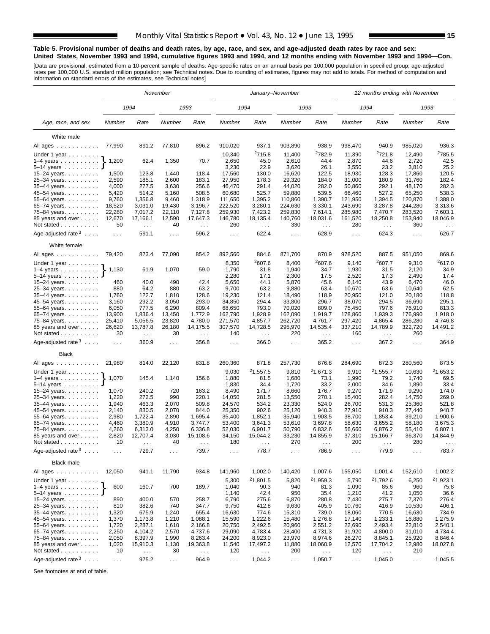#### **Table 5. Provisional number of deaths and death rates, by age, race, and sex, and age-adjusted death rates by race and sex: United States, November 1993 and 1994, cumulative figures 1993 and 1994, and 12 months ending with November 1993 and 1994—Con.**

[Data are provisional, estimated from a 10-percent sample of deaths. Age-specific rates on an annual basis per 100,000 population in specified group; age-adjusted<br>rates per 100,000 U.S. standard million population; see Tec

|                                                        |                  |                             | November             |                      |                      | January-November     |                    |                              |                    | 12 months ending with November |                      |                      |
|--------------------------------------------------------|------------------|-----------------------------|----------------------|----------------------|----------------------|----------------------|--------------------|------------------------------|--------------------|--------------------------------|----------------------|----------------------|
|                                                        |                  | 1994                        |                      | 1993                 |                      | 1994                 |                    | 1993                         |                    | 1994                           |                      | 1993                 |
| Age, race, and sex                                     | Number           | Rate                        | Number               | Rate                 | Number               | Rate                 | Number             | Rate                         | Number             | Rate                           | Number               | Rate                 |
| White male                                             |                  |                             |                      |                      |                      |                      |                    |                              |                    |                                |                      |                      |
| All ages                                               | 77,990           | 891.2                       | 77,810               | 896.2                | 910,020              | 937.1                | 903,890            | 938.9                        | 998,470            | 940.9                          | 985,020              | 936.3                |
|                                                        |                  |                             |                      |                      |                      | 2715.8               | 11,400             | <sup>2</sup> 782.9           | 11,390             | 2721.8                         | 12,490               | <sup>2</sup> 785.5   |
| Under 1 year                                           | 1,200            | 62.4                        | 1,350                | 70.7                 | 10,340<br>2,650      | 45.0                 | 2,610              | 44.4                         | 2,870              | 44.6                           | 2,720                | 42.5                 |
| $1-4$ years<br>5-14 years                              |                  |                             |                      |                      | 3,230                | 22.9                 | 3,620              | 26.1                         | 3,550              | 23.2                           | 3,810                | 25.2                 |
| 15-24 years.                                           | 1,500            | 123.8                       | 1,440                | 118.4                | 17,560               | 130.0                | 16,620             | 122.5                        | 18,930             | 128.3                          | 17,860               | 120.5                |
| 25-34 years.                                           | 2,590            | 185.1                       | 2,600                | 183.1                | 27,950               | 178.3                | 29,320             | 184.0                        | 31,000             | 180.9                          | 31,760               | 182.4                |
| 35-44 years.                                           | 4,000            | 277.5                       | 3,630                | 256.6                | 46,470               | 291.4                | 44,020             | 282.0                        | 50,860             | 292.1                          | 48,170               | 282.3                |
| 45-54 years.                                           | 5,420            | 514.2                       | 5,160                | 508.5                | 60,680               | 525.7                | 59,880             | 539.5                        | 66,460             | 527.2                          | 65,250               | 538.3                |
| 55-64 years.                                           | 9,760            | 1,356.8                     | 9,460                | 1,318.9              | 111,650              | 1,395.2              | 110,860            | 1,390.7                      | 121,950            | 1.394.5                        | 120,870              | 1,388.0              |
| 65-74 years.                                           | 18,520           | 3,031.0                     | 19,430               | 3,196.7              | 222,520              | 3,280.1              | 224,630            | 3,330.1                      | 243,690            | 3,287.8                        | 244,280              | 3,313.6              |
| 75-84 years.                                           | 22,280           | 7,017.2                     | 22,110               | 7,127.8              | 259,930              | 7,423.2              | 259,830            | 7,614.1                      | 285,980            | 7,470.7                        | 283,520              | 7,603.1              |
| 85 years and over                                      | 12,670           | 17,166.1                    | 12,590               | 17,647.3             | 146,780              | 18,135.4             | 140,760            | 18,031.6                     | 161,520            | 18,250.8                       | 153,940              | 18,046.9             |
| Not stated                                             | 50               | $\sim$ $\sim$               | 40                   | $\sim$ $\sim$        | 260                  | $\sim 100$           | 330                | $\sim$ $\sim$                | 280                | $\sim$ $\sim$                  | 360                  |                      |
| Age-adjusted rate $3 \ldots$ .                         | $\sim$ .         | 591.1                       | $\sim$ $\sim$ $\sim$ | 596.2                | $\sim 100$           | 622.4                | $\sim 100$         | 628.9                        | $\sim 100$         | 624.3                          | $\sim$ $\sim$ $\sim$ | 626.7                |
| White female                                           |                  |                             |                      |                      |                      |                      |                    |                              |                    |                                |                      |                      |
| All ages                                               | 79,420           | 873.4                       | 77,090               | 854.2                | 892,560              | 884.6                | 871,700            | 870.9                        | 978,520            | 887.5                          | 951,050              | 869.6                |
| Under 1 year                                           |                  |                             |                      |                      | 8,350                | 2607.6               | 8,400              | 2607.6                       | 9,140              | <sup>2</sup> 607.7             | 9,310                | <sup>2</sup> 617.0   |
| 1–4 years $\}$                                         | 1,130            | 61.9                        | 1,070                | 59.0                 | 1,790                | 31.8                 | 1,940              | 34.7                         | 1,930              | 31.5                           | 2,120                | 34.9                 |
| $5-14$ years $\ldots$                                  |                  |                             |                      |                      | 2,280                | 17.1                 | 2,300              | 17.5                         | 2,520              | 17.3                           | 2,490                | 17.4                 |
| 15-24 years.                                           | 460              | 40.0                        | 490                  | 42.4                 | 5,650                | 44.1                 | 5,870              | 45.6                         | 6,140              | 43.9                           | 6,470                | 46.0                 |
| 25-34 years.                                           | 880              | 64.2                        | 880                  | 63.2                 | 9,700                | 63.2                 | 9,880              | 63.4                         | 10,670             | 63.6                           | 10,640               | 62.5                 |
| 35-44 years.                                           | 1,760            | 122.7                       | 1,810                | 128.6                | 19,230               | 121.4                | 18,490             | 118.9                        | 20,950             | 121.0                          | 20.180               | 118.8                |
| 45-54 years.                                           | 3,160            | 292.2                       | 3,050                | 293.0                | 34,850               | 294.4                | 33,800             | 296.7                        | 38,070             | 294.5                          | 36,690               | 295.1                |
| 55–64 years.                                           | 6,050            | 777.5                       | 6,290                | 809.4<br>1,772.9     | 68,650               | 793.0                | 70,020             | 809.0                        | 75,450             | 797.6<br>1,939.3               | 76,910               | 813.3<br>1,918.0     |
| 65-74 years.                                           | 13,900<br>25,410 | 1,836.4<br>5,056.5          | 13,450<br>23,820     | 4,780.0              | 162,790<br>271,570   | 1,928.9<br>4,857.7   | 162,090<br>262,720 | 1,919.7<br>4,761.7           | 178,860<br>297,420 | 4,865.4                        | 176,990<br>286,280   | 4,746.8              |
| 75–84 years<br>85 years and over                       | 26,620           | 13,787.8                    | 26,180               | 14,175.5             | 307,570              | 14,728.5             | 295,970            | 14,535.4                     | 337,210            | 14,789.9                       | 322,720              | 14,491.2             |
| Not stated                                             | 30               | $\mathcal{L}^{\mathcal{L}}$ | 30                   | $\sim$ $\sim$ $\sim$ | 140                  | $\sim 100$           | 220                | $\sim 100$                   | 160                | $\sim$ $\sim$ $\sim$           | 260                  | $\sim$ $\sim$ $\sim$ |
| Age-adjusted rate $3 \ldots$ .                         | $\sim 100$       | 360.9                       | $\sim 100$           | 356.8                | $\ldots$             | 366.0                | $\sim 100$         | 365.2                        | $\cdots$           | 367.2                          | $\sim 100$           | 364.9                |
| <b>Black</b>                                           |                  |                             |                      |                      |                      |                      |                    |                              |                    |                                |                      |                      |
| All ages                                               | 21,980           | 814.0                       | 22,120               | 831.8                | 260,360              | 871.8                | 257,730            | 876.8                        | 284,690            | 872.3                          | 280,560              | 873.5                |
| Under 1 year                                           |                  |                             |                      |                      | 9,030                | 21,557.5             | 9,810              | <sup>2</sup> 1,671.3         | 9,910              | 21,555.7                       | 10,630               | <sup>2</sup> 1,653.2 |
| $1-4$ years $\ldots$ $\ldots$ $\ldots$                 | 1,070            | 145.4                       | 1,140                | 156.6                | 1,880                | 81.5                 | 1,680              | 73.1                         | 1,990              | 79.2                           | 1,740                | 69.5                 |
| $5-14$ years                                           |                  |                             |                      |                      | 1,830                | 34.4                 | 1,720              | 33.2                         | 2,000              | 34.6                           | 1,890                | 33.4                 |
| 15-24 years.                                           | 1,070            | 240.2                       | 720                  | 163.2                | 8,490                | 171.7                | 8,660              | 176.7                        | 9,270              | 171.9                          | 9,290                | 174.0                |
| 25-34 years.                                           | 1,220            | 272.5                       | 990                  | 220.1                | 14,050               | 281.5                | 13,550             | 270.1                        | 15,400             | 282.4                          | 14,750               | 269.0                |
| 35-44 years.                                           | 1,940            | 463.3                       | 2,070                | 509.8                | 24,570               | 534.2                | 23,330             | 524.0                        | 26,700             | 531.3                          | 25,360               | 521.8                |
| 45-54 years.                                           | 2,140            | 830.5                       | 2,070                | 844.0                | 25,350               | 902.6                | 25,120             | 940.3                        | 27,910             | 910.3                          | 27,440               | 940.7                |
| 55-64 years.                                           | 2,980            | 1,722.4                     | 2,890                | 1,695.4              | 35,400               | 1,852.1              | 35,940             | 1,903.5                      | 38,700             | 1,853.4                        | 39,210               | 1,900.6              |
| 65-74 years.                                           | 4,460            | 3,380.9                     | 4,910                | 3,747.7              | 53,400               | 3,641.3              | 53,610             | 3,697.8                      | 58,630             | 3,655.2                        | 58,180               | 3,675.3              |
| 75–84 years.                                           | 4,260<br>2,820   | 6,313.0<br>12,707.4         | 4,250<br>3,030       | 6,336.8<br>15,108.6  | 52,030<br>34,150     | 6,901.7<br>15,044.2  | 50,790<br>33,230   | 6,832.6<br>14,855.9          | 56,660<br>37,310   | 6,876.2<br>15,166.7            | 55,410<br>36,370     | 6,807.1<br>14,844.9  |
| 85 years and over<br>Not stated.<br>and a series and a | 10               |                             | 40                   |                      | 180                  |                      | 270                |                              | 200                |                                | 280                  |                      |
| Age-adjusted rate $3 \ldots$ .                         | $\sim 100$       | 729.7                       | $\sim$ $\sim$ $\sim$ | 739.7                | $\sim$ $\sim$ $\sim$ | 778.7                | $\sim$ $\sim$      | 786.9                        | .                  | 779.9                          | $\sim$ $\sim$ $\sim$ | 783.7                |
| Black male                                             |                  |                             |                      |                      |                      |                      |                    |                              |                    |                                |                      |                      |
| All ages                                               | 12,050           | 941.1                       | 11,790               | 934.8                | 141,960              | 1,002.0              | 140,420            | 1,007.6                      | 155,050            | 1,001.4                        | 152,610              | 1,002.2              |
|                                                        |                  |                             |                      |                      |                      | <sup>2</sup> 1,801.5 |                    |                              |                    |                                |                      |                      |
| Under 1 year                                           | 600              | 160.7                       | 700                  |                      | 5,300                | 90.3                 | 5,820<br>940       | <sup>2</sup> 1,959.3<br>81.3 | 5,790              | <sup>2</sup> 1,792.6<br>85.6   | 6,250<br>960         | 21,923.1             |
| $1-4$ years                                            |                  |                             |                      | 189.7                | 1,040<br>1,140       | 42.4                 |                    | 35.4                         | 1,090<br>1,210     |                                |                      | 75.8<br>36.6         |
| 5–14 years $\dots$ <b>J</b><br>15–24 years. $\ldots$   | 890              | 400.0                       | 570                  | 258.7                | 6,790                | 275.6                | 950<br>6,870       | 280.8                        | 7,430              | 41.2<br>275.7                  | 1,050<br>7,370       | 276.4                |
| 25-34 years.                                           | 810              | 382.6                       | 740                  | 347.7                | 9,750                | 412.8                | 9,630              | 405.9                        | 10,760             | 416.9                          | 10,530               | 406.1                |
| 35-44 years.                                           | 1,320            | 675.9                       | 1,240                | 655.4                | 16,630               | 774.6                | 15,310             | 739.0                        | 18,060             | 770.5                          | 16,630               | 734.9                |
| 45-54 years.                                           | 1,370            | 1,173.8                     | 1,210                | 1,088.1              | 15,590               | 1,222.6              | 15,480             | 1,276.8                      | 17,140             | 1,233.1                        | 16,880               | 1,275.9              |
| 55-64 years.                                           | 1,720            | 2,287.1                     | 1,610                | 2,166.8              | 20,750               | 2,492.5              | 20,960             | 2,551.2                      | 22,690             | 2,493.4                        | 22,810               | 2,540.1              |
| 65-74 years.                                           | 2,250            | 4,104.2                     | 2,570                | 4,737.6              | 29,090               | 4,783.4              | 28,400             | 4,731.3                      | 31,920             | 4,800.0                        | 31,010               | 4,734.4              |
| 75-84 years.                                           | 2,050            | 8,397.9                     | 1,990                | 8,263.4              | 24,200               | 8,923.0              | 23,970             | 8,974.6                      | 26,270             | 8,845.1                        | 25,920               | 8,846.4              |
| 85 years and over                                      | 1,020            | 15,910.3                    | 1,130                | 19,363.8             | 11,540               | 17,497.2             | 11,880             | 18,060.9                     | 12,570             | 17,704.2                       | 12,980               | 18,027.8             |
| Not stated                                             | 10               | $\sim$ $\sim$               | 30                   | $\sim$ $\sim$        | 120                  | $\sim 100$           | 200                | $\sim$ $\sim$                | 120                | $\sim 100$                     | 210                  | $\sim$ $\sim$ $\sim$ |
| Age-adjusted rate $3 \ldots$ .                         | $\sim$ $\sim$    | 975.2                       | $\sim$ $\sim$        | 964.9                | $\sim$ $\sim$        | 1,044.2              | $\sim$ $\sim$      | 1,050.7                      | $\sim$ $\sim$      | 1,045.0                        | $\sim$ $\sim$        | 1,045.5              |

See footnotes at end of table.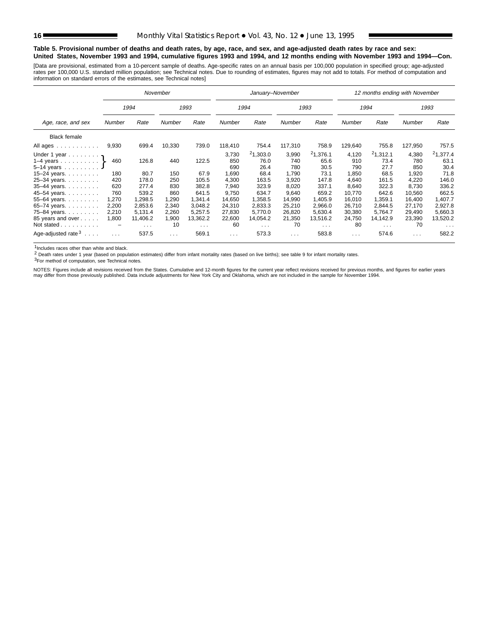#### **Table 5. Provisional number of deaths and death rates, by age, race, and sex, and age-adjusted death rates by race and sex: United States, November 1993 and 1994, cumulative figures 1993 and 1994, and 12 months ending with November 1993 and 1994—Con.**

[Data are provisional, estimated from a 10-percent sample of deaths. Age-specific rates on an annual basis per 100,000 population in specified group; age-adjusted rates per 100,000 U.S. standard million population; see Technical notes. Due to rounding of estimates, figures may not add to totals. For method of computation and<br>information on standard errors of the estimates, see Techn

|                                       |        |                         | November |                      |                      | January-November     |                      |                  |               | 12 months ending with November |                      |                         |
|---------------------------------------|--------|-------------------------|----------|----------------------|----------------------|----------------------|----------------------|------------------|---------------|--------------------------------|----------------------|-------------------------|
|                                       |        | 1994                    |          | 1993                 |                      | 1994                 |                      | 1993             |               | 1994                           |                      | 1993                    |
| Age, race, and sex                    | Number | Rate                    | Number   | Rate                 | Number               | Rate                 | Number               | Rate             | <b>Number</b> | Rate                           | <b>Number</b>        | Rate                    |
| <b>Black female</b>                   |        |                         |          |                      |                      |                      |                      |                  |               |                                |                      |                         |
| All ages                              | 9,930  | 699.4                   | 10,330   | 739.0                | 118,410              | 754.4                | 117,310              | 758.9            | 129,640       | 755.8                          | 127,950              | 757.5                   |
| Under 1 year $\eta$<br>1–4 years $\}$ | 460    | 126.8                   | 440      | 122.5                | 3,730<br>850         | 21,303.0<br>76.0     | 3,990<br>740         | 21,376.1<br>65.6 | 4,120<br>910  | 21,312.1<br>73.4               | 4,380<br>780         | $^{2}1,377.4$<br>63.1   |
| $5 - 14$ years                        |        |                         |          |                      | 690                  | 26.4                 | 780                  | 30.5             | 790           | 27.7                           | 850                  | 30.4                    |
| 15-24 years. $\ldots$                 | 180    | 80.7                    | 150      | 67.9                 | 1,690                | 68.4                 | 1,790                | 73.1             | 1,850         | 68.5                           | 1,920                | 71.8                    |
| 25-34 years.                          | 420    | 178.0                   | 250      | 105.5                | 4,300                | 163.5                | 3,920                | 147.8            | 4,640         | 161.5                          | 4,220                | 146.0                   |
| 35-44 years.                          | 620    | 277.4                   | 830      | 382.8                | 7,940                | 323.9                | 8,020                | 337.1            | 8,640         | 322.3                          | 8,730                | 336.2                   |
| 45-54 years.                          | 760    | 539.2                   | 860      | 641.5                | 9,750                | 634.7                | 9,640                | 659.2            | 10,770        | 642.6                          | 10,560               | 662.5                   |
| 55-64 years.                          | 1,270  | 1,298.5                 | 1,290    | 1.341.4              | 14,650               | 1,358.5              | 14,990               | 1,405.9          | 16,010        | 1,359.1                        | 16,400               | 1,407.7                 |
| 65-74 years.                          | 2,200  | 2,853.6                 | 2,340    | 3,048.2              | 24,310               | 2,833.3              | 25,210               | 2,966.0          | 26,710        | 2,844.5                        | 27,170               | 2,927.8                 |
| 75-84 years.                          | 2,210  | 5,131.4                 | 2,260    | 5,257.5              | 27,830               | 5,770.0              | 26,820               | 5,630.4          | 30,380        | 5,764.7                        | 29,490               | 5,660.3                 |
| 85 years and over                     | 1,800  | 11,406.2                | 1,900    | 13,362.2             | 22,600               | 14,054.2             | 21,350               | 13,516.2         | 24,750        | 14,142.9                       | 23,390               | 13,520.2                |
| Not stated                            |        | $\sim 100$ km s $^{-1}$ | 10       | $\sim$ $\sim$ $\sim$ | 60                   | $\sim$ $\sim$ $\sim$ | 70                   | $\cdots$         | 80            | $\cdots$                       | 70                   | $\cdot$ $\cdot$ $\cdot$ |
| Age-adjusted rate $3 \ldots$ .        | .      | 537.5                   | $\cdots$ | 569.1                | $\sim$ $\sim$ $\sim$ | 573.3                | $\sim$ $\sim$ $\sim$ | 583.8            | $\sim 100$    | 574.6                          | $\sim$ $\sim$ $\sim$ | 582.2                   |

1Includes races other than white and black.

2 Death rates under 1 year (based on population estimates) differ from infant mortality rates (based on live births); see table 9 for infant mortality rates.

3For method of computation, see Technical notes.

NOTES: Figures include all revisions received from the States. Cumulative and 12-month figures for the current year reflect revisions received for previous months, and figures for earlier years<br>may differ from those previo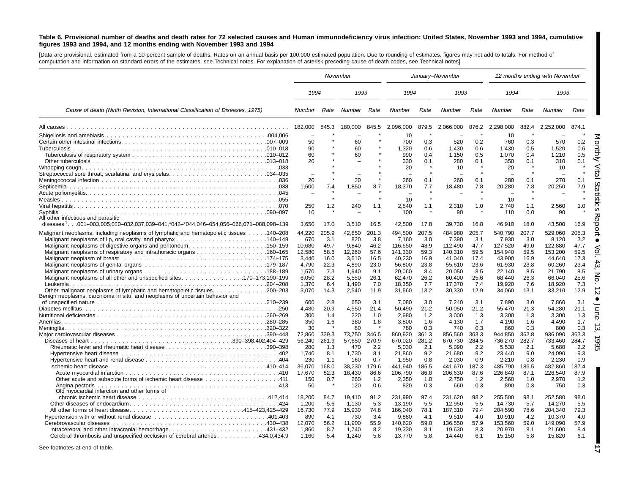#### Table 6. Provisional number of deaths and death rates for 72 selected causes and Human immunodeficiency virus infection: United States, November 1993 and 1994, cumulative figures 1993 and 1994, and 12 months ending with November 1993 and 1994

[Data are provisional, estimated from <sup>a</sup> 10-percent sample of deaths. Rates on an annual basis per 100,000 estimated population. Due to rounding of estimates, figures may not add to totals. For method of computation and information on standard errors of the estimates, see Technical notes. For explanation of asterisk preceding cause-of-death codes, see Technical notes]

|                                                                                                                                                           |                                                      |                     | November                 |                     |                             |                     | January-November            |                     |                             |                     | 12 months ending with November |                     |
|-----------------------------------------------------------------------------------------------------------------------------------------------------------|------------------------------------------------------|---------------------|--------------------------|---------------------|-----------------------------|---------------------|-----------------------------|---------------------|-----------------------------|---------------------|--------------------------------|---------------------|
|                                                                                                                                                           | 1994                                                 |                     | 1993                     |                     | 1994                        |                     | 1993                        |                     | 1994                        |                     | 1993                           |                     |
| Cause of death (Ninth Revision, International Classification of Diseases, 1975)                                                                           | Number                                               | Rate                | Number Rate              |                     | Number                      | Rate                | Number                      | Rate                | <b>Number</b>               | Rate                | Number                         | Rate                |
|                                                                                                                                                           | 182,000                                              | 845.3               | 180.000                  | 845.5               | 2,096,000                   | 879.5               | 2,066,000                   | 876.2               | 2,298,000                   | 882.4               | 2,252,000                      | 874.1               |
|                                                                                                                                                           | 50                                                   |                     | 60                       |                     | 10<br>700                   | 0.3                 | 520                         | 0.2                 | 10<br>760                   | 0.3                 | 570                            | 0.2                 |
|                                                                                                                                                           | 90<br>60<br>20                                       |                     | 60<br>60                 |                     | 1,320<br>990<br>330         | 0.6<br>0.4<br>0.1   | 1,430<br>1.150<br>280       | 0.6<br>0.5<br>0.1   | 1,430<br>1.070<br>350       | 0.5<br>0.4<br>0.1   | 1,520<br>1.210<br>310          | 0.6<br>0.5<br>0.1   |
|                                                                                                                                                           | $\overline{\phantom{0}}$<br>$\overline{\phantom{a}}$ |                     |                          |                     | 20                          |                     | 10                          |                     | 20                          |                     | 10                             |                     |
|                                                                                                                                                           | 20                                                   |                     | 20                       |                     | 260                         | 0.1                 | 260                         | 0.1                 | 280                         | 0.1                 | 270                            | 0.1                 |
|                                                                                                                                                           | 1,600                                                | 7.4                 | 1,850                    | 8.7                 | 18,370                      | 7.7                 | 18,480                      | 7.8                 | 20,280                      | 7.8                 | 20,250                         | 7.9                 |
|                                                                                                                                                           | $\overline{\phantom{0}}$<br>250                      | 1.2                 | 240                      | 1.1                 | 10<br>2,540                 | $\star$<br>1.1      | 2,310                       | 1.0                 | 10<br>2,740                 | 1.1                 | 2,560                          | 1.0                 |
| Syphilis<br>All other infectious and parasitic<br>diseases <sup>1</sup> 001-003,005,020-032,037,039-041,*042-*044,046-054,056-066,071-088,098-139         | 10<br>3,650                                          | 17.0                | 3,510                    | 16.5                | 100<br>42,500               | 17.8                | 90<br>39,730                | 16.8                | 110<br>46,910               | 0.0<br>18.0         | 90<br>43,500                   | 16.9                |
| Malignant neoplasms, including neoplasms of lymphatic and hematopoietic tissues 140–208                                                                   | 44,220                                               | 205.9               | 42,850                   | 201.3               | 494,500                     | 207.5               | 484,980                     | 205.7               | 540,790                     | 207.7               | 529,060                        | 205.3               |
| Malignant neoplasms of digestive organs and peritoneum150–159                                                                                             | 670<br>10,680<br>12,580                              | 3.1<br>49.7<br>58.6 | 820<br>9,840<br>12.260   | 3.8<br>46.2<br>57.6 | 7,160<br>116,550<br>141,330 | 3.0<br>48.9<br>59.3 | 7,390<br>112,490<br>140,310 | 3.1<br>47.7<br>59.5 | 7,930<br>127,520<br>154.940 | 3.0<br>49.0<br>59.5 | 8,120<br>122,880<br>153.200    | 3.2<br>47.7<br>59.5 |
|                                                                                                                                                           | 3.440<br>4,790                                       | 16.0<br>22.3        | 3.510<br>4,890           | 16.5<br>23.0        | 40.230<br>56,800            | 16.9<br>23.8        | 41.040<br>55,610            | 17.4<br>23.6        | 43.900<br>61,930            | 16.9<br>23.8        | 44.640<br>60,260               | 17.3<br>23.4        |
|                                                                                                                                                           | 1,570<br>6,050<br>1.370                              | 7.3<br>28.2<br>6.4  | 1.940<br>5,550<br>1.490  | 9.1<br>26.1<br>7.0  | 20,060<br>62,470<br>18,350  | 8.4<br>26.2<br>7.7  | 20,050<br>60,400<br>17,370  | 8.5<br>25.6<br>7.4  | 22,140<br>68,440<br>19.920  | 8.5<br>26.3<br>7.6  | 21,790<br>66,040<br>18.920     | 8.5<br>25.6<br>7.3  |
| Other malignant neoplasms of lymphatic and hematopoietic tissues. 200–203<br>Benign neoplasms, carcinoma in situ, and neoplasms of uncertain behavior and | 3.070                                                | 14.3                | 2,540                    | 11.9                | 31,560                      | 13.2                | 30,330                      | 12.9                | 34,060                      | 13.1                | 33,210                         | 12.9                |
|                                                                                                                                                           | 600<br>4.480                                         | 2.8<br>20.9         | 650<br>4,550             | 3.1<br>21.4         | 7,080<br>50,490             | 3.0<br>21.2         | 7,240<br>50,050             | 3.1<br>21.2         | 7,890<br>55,470             | 3.0<br>21.3         | 7,860<br>54,280                | 3.1<br>21.1         |
|                                                                                                                                                           | 300<br>350                                           | 1.4<br>1.6          | 220<br>380               | 1.0<br>1.8          | 2.980<br>3,800              | 1.2<br>1.6          | 3,000<br>4,130              | 1.3<br>1.7          | 3,300<br>4,190              | 1.3<br>1.6          | 3,300<br>4,490                 | 1.3<br>1.7          |
|                                                                                                                                                           | 30<br>72,860                                         | 339.3               | 80<br>73,750             | 346.5               | 780<br>860,920              | 0.3<br>361.3        | 740<br>856,560              | 0.3<br>363.3        | 860<br>944,850              | 0.3<br>362.8        | 800<br>936,090                 | 0.3<br>363.3        |
| Rheumatic fever and rheumatic heart disease390–398                                                                                                        | 56.240<br>280                                        | 261.9<br>1.3        | 57.650<br>470            | 270.9<br>2.2        | 670.020<br>5.030            | 281.2<br>2.1        | 670.730<br>5,090            | 284.5<br>2.2        | 736.270<br>5,530            | 282.7<br>2.1        | 733.460<br>5,680               | 284.7<br>2.2        |
|                                                                                                                                                           | 1.740                                                | 8.1                 | 1,730                    | 8.1                 | 21,860                      | 9.2                 | 21,680                      | 9.2                 | 23,440                      | 9.0                 | 24,090                         | 9.3                 |
|                                                                                                                                                           | 230<br>36.070                                        | 1.1<br>168.0        | 160<br>38.230            | 0.7<br>179.6        | 1,950<br>441.940            | 0.8<br>185.5        | 2,030<br>441.670            | 0.9<br>187.3        | 2,210<br>485.790            | 0.8<br>186.5        | 2,230<br>482.860               | 0.9<br>187.4        |
|                                                                                                                                                           | 17.670<br>150<br>50                                  | 82.3<br>0.7         | 18.430<br>260<br>120     | 86.6<br>1.2<br>0.6  | 206,790<br>2,350<br>820     | 86.8<br>1.0<br>0.3  | 206,630<br>2,750<br>660     | 87.6<br>1.2<br>0.3  | 226,840<br>2,560<br>890     | 87.1<br>1.0<br>0.3  | 226,540<br>2,970<br>750        | 87.9<br>1.2<br>0.3  |
| Old myocardial infarction and other forms of                                                                                                              |                                                      |                     |                          |                     |                             |                     |                             |                     |                             |                     |                                |                     |
|                                                                                                                                                           | 18.200<br>1.200                                      | 84.7<br>5.6         | 19.410<br>1,130          | 91.2<br>5.3         | 231.990<br>13,190           | 97.4<br>5.5         | 231.620<br>12,950           | 98.2<br>5.5         | 255.500<br>14,730           | 98.1<br>5.7         | 252,580<br>14.270              | 98.0<br>5.5         |
| All other forms of heart disease415–423,425–429                                                                                                           | 16,730<br>890                                        | 77.9<br>4.1         | 15,930<br>730            | 74.8<br>3.4         | 186,040<br>9,880            | 78.1<br>4.1         | 187,310<br>9,510            | 79.4<br>4.0         | 204,590<br>10,910           | 78.6<br>4.2         | 204,340<br>10,370              | 79.3<br>4.0         |
| Intracerebral and other intracranial hemorrhage431-432<br>Cerebral thrombosis and unspecified occlusion of cerebral arteries434.0,434.9                   | 12.070<br>1.860<br>1.160                             | 56.2<br>8.7<br>5.4  | 11.900<br>1.740<br>1,240 | 55.9<br>8.2<br>5.8  | 140.620<br>19.330<br>13,770 | 59.0<br>8.1<br>5.8  | 136.550<br>19,630<br>14,440 | 57.9<br>8.3<br>6.1  | 153.560<br>20,970<br>15,150 | 59.0<br>8.1<br>5.8  | 149.090<br>21.600<br>15,820    | 57.9<br>8.4<br>6.1  |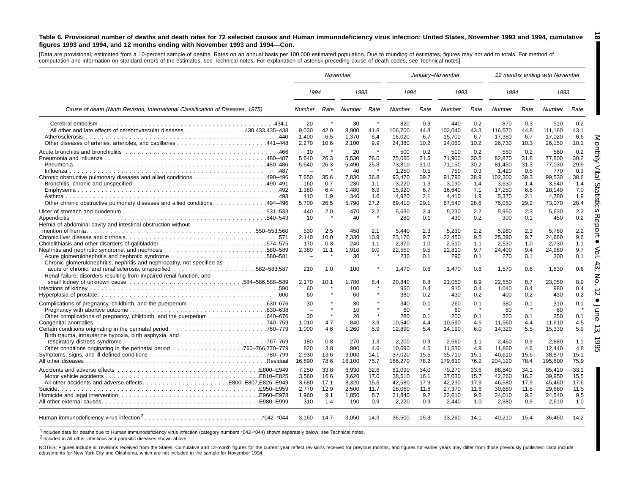#### Table 6. Provisional number of deaths and death rates for 72 selected causes and Human immunodeficiency virus infection: United States, November 1993 and 1994, cumulative figures 1993 and 1994, and 12 months ending with November 1993 and 1994–Con.

**18**

Π

[Data are provisional, estimated from a 10-percent sample of deaths. Rates on an annual basis per 100,000 estimated population. Due to rounding of estimates, figures may not add to totals. For method of computation and information on standard errors of the estimates, see Technical notes. For explanation of asterisk preceding cause-of-death codes, see Technical notes]

|                                                                                                                                   |                                                               |                                                        | November                                                            |                                                              |                                                                                  |                                                                 | January-November                                                               |                                                                 |                                                                                   |                                                                 | 12 months ending with November                                                 |                                                                                 |
|-----------------------------------------------------------------------------------------------------------------------------------|---------------------------------------------------------------|--------------------------------------------------------|---------------------------------------------------------------------|--------------------------------------------------------------|----------------------------------------------------------------------------------|-----------------------------------------------------------------|--------------------------------------------------------------------------------|-----------------------------------------------------------------|-----------------------------------------------------------------------------------|-----------------------------------------------------------------|--------------------------------------------------------------------------------|---------------------------------------------------------------------------------|
|                                                                                                                                   | 1994                                                          |                                                        | 1993                                                                |                                                              | 1994                                                                             |                                                                 | 1993                                                                           |                                                                 | 1994                                                                              |                                                                 | 1993                                                                           |                                                                                 |
| Cause of death (Ninth Revision, International Classification of Diseases, 1975)                                                   | <b>Number</b>                                                 | Rate                                                   | Number                                                              | Rate                                                         | Number                                                                           | Rate                                                            | Number                                                                         | Rate                                                            | Number                                                                            | Rate                                                            | <b>Number</b>                                                                  | Rate                                                                            |
| All other and late effects of cerebrovascular diseases 430,433,435–438                                                            | 20<br>9,030<br>1,400<br>2,270                                 | 42.0<br>6.5<br>10.6                                    | 30<br>8,900<br>1,370<br>2,100                                       | 41.8<br>6.4<br>9.9                                           | 820<br>106,700<br>16,020<br>24,380                                               | 0.3<br>44.8<br>6.7<br>10.2                                      | 440<br>102,040<br>15,700<br>24,060                                             | 0.2<br>43.3<br>6.7<br>10.2                                      | 870<br>116,570<br>17.380<br>26,730                                                | 0.3<br>44.8<br>6.7<br>10.3                                      | 510<br>111,160<br>17.020<br>26,150                                             | 0.2<br>43.1<br>6.6<br>10.1                                                      |
| Other chronic obstructive pulmonary diseases and allied conditions. 494–496                                                       | 10<br>5,640<br>5,640<br>7,650<br>160<br>1,380<br>410<br>5.700 | ×<br>26.3<br>26.3<br>35.6<br>0.7<br>6.4<br>1.9<br>26.5 | 20<br>5,530<br>5.490<br>40<br>7,830<br>230<br>1,480<br>340<br>5.790 | 26.0<br>25.8<br>$\star$<br>36.8<br>1.1<br>6.9<br>1.6<br>27.2 | 500<br>75,060<br>73,810<br>1.250<br>93,470<br>3,220<br>15,920<br>4.920<br>69,410 | 0.2<br>31.5<br>31.0<br>0.5<br>39.2<br>1.3<br>6.7<br>2.1<br>29.1 | 510<br>71,900<br>71.150<br>750<br>91,790<br>3,190<br>16,640<br>4.410<br>67,540 | 0.2<br>30.5<br>30.2<br>0.3<br>38.9<br>1.4<br>7.1<br>1.9<br>28.6 | 550<br>82,870<br>81.450<br>1.420<br>102,300<br>3,630<br>17,250<br>5.370<br>76,050 | 0.2<br>31.8<br>31.3<br>0.5<br>39.3<br>1.4<br>6.6<br>2.1<br>29.2 | 560<br>77,800<br>77.030<br>770<br>99,530<br>3,540<br>18,140<br>4.780<br>73,070 | 0.2<br><b>EDI</b> y<br>30.2<br>29.9<br>0.3<br>38.6<br>1.4<br>7.0<br>1.9<br>28.4 |
| Hernia of abdominal cavity and intestinal obstruction without                                                                     | 440<br>10                                                     | 2.0<br>$\star$                                         | 470<br>40                                                           | 2.2<br>$\star$                                               | 5,630<br>280                                                                     | 2.4<br>0.1                                                      | 5,230<br>430                                                                   | 2.2<br>0.2                                                      | 5,950<br>300                                                                      | 2.3<br>0.1                                                      | 5,630<br>450                                                                   | ö<br>2.2<br>PS<br>0<br>0.2<br>℧                                                 |
| Acute glomerulonephritis and nephrotic syndrome580–581<br>Chronic glomerulonephritis, nephritis and nephropathy, not specified as | 530<br>2,140<br>170<br>2,380<br>$\overline{\phantom{0}}$      | 2.5<br>10.0<br>0.8<br>11.1                             | 450<br>2,330<br>240<br>1,910<br>30                                  | 2.1<br>10.9<br>1.1<br>9.0                                    | 5.440<br>23,170<br>2,370<br>22,550<br>230                                        | 2.3<br>9.7<br>1.0<br>9.5<br>0.1                                 | 5,230<br>22,450<br>2,510<br>22,810<br>290                                      | 2.2<br>9.5<br>1.1<br>9.7<br>0.1                                 | 5.980<br>25,390<br>2,530<br>24,400<br>270                                         | 2.3<br>9.7<br>1.0<br>9.4<br>0.1                                 | 5.780<br>24,660<br>2.730<br>24,980<br>300                                      | $\circ$<br>2.2<br>9.6<br>1.1<br>9.7<br>0.1                                      |
| Renal failure, disorders resulting from impaired renal function, and                                                              | 210<br>2,170<br>60                                            | 1.0<br>10.1                                            | 100<br>1,780<br>100<br>60                                           | 8.4                                                          | 1.470<br>20,840<br>960<br>380                                                    | 0.6<br>8.8<br>0.4<br>0.2                                        | 1.470<br>21,050<br>910                                                         | 0.6<br>8.9<br>0.4<br>0.2                                        | 1,570<br>22,550<br>1,040<br>400                                                   | 0.6<br>8.7<br>0.4<br>0.2                                        | 1.630<br>23,050<br>980<br>430                                                  | 0.6<br>8.9<br>0.4<br>0.2<br>$\sim$                                              |
|                                                                                                                                   | 60<br>30<br>$\overline{\phantom{0}}$<br>30<br>1,010<br>1.000  | 4.7<br>4.6                                             | 30<br>10<br>20<br>840<br>1.260                                      | 3.9<br>5.9                                                   | 340<br>60<br>280<br>10,540<br>12.890                                             | 0.1<br>$\star$<br>0.1<br>4.4<br>5.4                             | 430<br>260<br>60<br>200<br>10,590<br>14.190                                    | 0.1<br>$\star$<br>0.1<br>4.5<br>6.0                             | 380<br>60<br>320<br>11,560<br>14,320                                              | 0.1<br>0.1<br>4.4<br>5.5                                        | 310<br>60<br>250<br>11,610<br>15,330                                           | 0.1<br>0.1<br>4.5<br>5.9                                                        |
| Birth trauma, intrauterine hypoxia, birth asphyxia, and<br>Other conditions originating in the perinatal period 760–766,770–779   | 180<br>820<br>2,930<br>16.890                                 | 0.8<br>3.8<br>13.6<br>78.6                             | 270<br>990<br>3,000<br>16.100                                       | 1.3<br>4.6<br>14.1<br>75.7                                   | 2,200<br>10,690<br>37,020<br>186,270                                             | 0.9<br>4.5<br>15.5<br>78.2                                      | 2,660<br>11,530<br>35,710<br>179.610                                           | 1.1<br>4.9<br>15.1<br>76.2                                      | 2.460<br>11,860<br>40,610<br>204,120                                              | 0.9<br>4.6<br>15.6<br>78.4                                      | 2.880<br>12.440<br>38,870<br>195,600                                           | 1.1<br>4.8<br>15.1<br>75.9                                                      |
| All other accidents and adverse effectsE800-E807,E826-E949                                                                        | 7,250<br>3,560<br>3.680<br>2,770<br>1.960<br>310              | 33.8<br>16.6<br>17.1<br>12.9<br>9.1<br>1.4             | 6,930<br>3,620<br>3.320<br>2,500<br>1.850<br>190                    | 32.6<br>17.0<br>15.6<br>11.7<br>8.7<br>0.9                   | 81,090<br>38,510<br>42,580<br>28,060<br>21,840<br>2,220                          | 34.0<br>16.1<br>17.9<br>11.8<br>9.2<br>0.9                      | 79,270<br>37,030<br>42.230<br>27,370<br>22,610<br>2.440                        | 33.6<br>15.7<br>17.9<br>11.6<br>9.6<br>1.0                      | 88,840<br>42,260<br>46.580<br>30,680<br>24,010<br>2.380                           | 34.1<br>16.2<br>17.9<br>11.8<br>9.2<br>0.9                      | 85,410<br>39,950<br>45.460<br>29,680<br>24,540<br>2.610                        | 33.1<br>15.5<br>17.6<br>11.5<br>9.5<br>1.0                                      |
|                                                                                                                                   | 3,160                                                         | 14.7                                                   | 3,050                                                               | 14.3                                                         | 36,500                                                                           | 15.3                                                            | 33,260                                                                         | 14.1                                                            | 40,210                                                                            | 15.4                                                            | 36,460                                                                         | 14.2                                                                            |

1Includes data for deaths due to Human immunodeficiency virus infection (category numbers \*042–\*044) shown separately below; see Technical notes.

2Included in All other infectious and parasitic diseases shown above.

NOTES: Figures include all revisions received from the States. Cumulative and 12-month figures for the current year reflect revisions received for previous months, and figures for earlier years may differ from those previo adjustments for New York City and Oklahoma, which are not included in the sample for November 1994.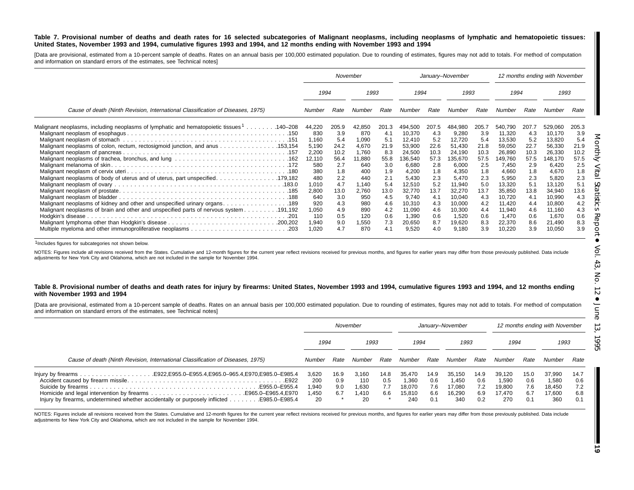#### Table 7. Provisional number of deaths and death rates for 16 selected subcategories of Malignant neoplasms, including neoplasms of lymphatic and hematopoietic tissues: United States, November 1993 and 1994, cumulative figures 1993 and 1994, and 12 months ending with November 1993 and 1994

[Data are provisional, estimated from a 10-percent sample of deaths. Rates on an annual basis per 100,000 estimated population. Due to rounding of estimates, figures may not add to totals. For method of computation and information on standard errors of the estimates, see Technical notes]

|                                                                                                                                                                                | November                 |                          |                           | January-November         |                                     |                          |                                     | 12 months ending with November |                                     |                          |                                     |                          |
|--------------------------------------------------------------------------------------------------------------------------------------------------------------------------------|--------------------------|--------------------------|---------------------------|--------------------------|-------------------------------------|--------------------------|-------------------------------------|--------------------------------|-------------------------------------|--------------------------|-------------------------------------|--------------------------|
|                                                                                                                                                                                |                          | 1994<br>1993             |                           | 1994                     |                                     | 1993                     |                                     | 1994                           |                                     |                          | 1993                                |                          |
| Cause of death (Ninth Revision, International Classification of Diseases, 1975)                                                                                                | Number                   | Rate                     | Number                    | Rate                     | Number                              | Rate                     | Number                              | Rate                           | Number                              | Rate                     | Number                              | Rate                     |
| Malignant neoplasms, including neoplasms of lymphatic and hematopoietic tissues <sup>1</sup> 140–208                                                                           | 44,220<br>830<br>1,160   | 205.9<br>3.9<br>5.4      | 42,850<br>870<br>1,090    | 201.3<br>4.1<br>5.1      | 494,500<br>10,370<br>12,410         | 207.5<br>4.3<br>5.2      | 484,980<br>9,280<br>12,720          | 205.<br>3.9<br>5.4             | 540,790<br>11,320<br>13,530         | 207.7<br>4.3<br>5.2      | 529,060<br>10,170<br>13,820         | 205.3<br>3.9<br>5.4      |
| Malignant neoplasms of colon, rectum, rectosigmoid junction, and anus 153,154                                                                                                  | 5,190<br>2,200<br>12,110 | 24.2<br>10.2<br>56.4     | 4,670<br>1,760<br>11,880  | 21.9<br>8.3<br>55.8      | 53,900<br>24,500<br>136,540         | 22.6<br>10.3<br>57.3     | 51,430<br>24,190<br>135,670         | 21.8<br>10.3<br>57.5           | 59,050<br>26,890<br>149,760         | 22.7<br>10.3<br>57.5     | 56,330<br>26,330<br>148,170         | 21.9<br>10.2<br>57.5     |
| Malignant neoplasms of body of uterus and of uterus, part unspecified. 179,182                                                                                                 | 580<br>380<br>480        | 2.7<br>1.8<br>2.2        | 640<br>400<br>440         | 3.0<br>1.9<br>2.1        | 6,680<br>4,200<br>5,430             | 2.8<br>1.8<br>2.3        | 6,000<br>4,350<br>5,470             | 2.5<br>1.8<br>2.3              | 7,450<br>4,660<br>5,950             | 2.9<br>1.8<br>2.3        | 6,420<br>4,670<br>5,820             | 2.5<br>1.8<br>2.3        |
|                                                                                                                                                                                | 1,010<br>2,800<br>640    | 4.7<br>13.0<br>3.0       | 1,140<br>2,760<br>950     | 5.4<br>13.0<br>4.5       | 12,510<br>32,770<br>9,740           | 5.2<br>13.7<br>4.1       | 11,940<br>32,270<br>10,040          | 5.0<br>13.7<br>4.3             | 13,320<br>35,850<br>10,720          | 5.1<br>13.8<br>4.1       | 13,120<br>34,940<br>10,990          | 5.1<br>13.6<br>4.3       |
| Malignant neoplasms of kidney and other and unspecified urinary organs. 189<br>191,192. Malignant neoplasms of brain and other and unspecified parts of nervous system 191,192 | 920<br>1,050<br>110      | 4.3<br>4.9<br>0.5<br>9.0 | 980<br>890<br>120<br>,550 | 4.6<br>4.2<br>0.6<br>7.3 | 10,310<br>11,090<br>1,390<br>20,650 | 4.3<br>4.6<br>0.6<br>8.7 | 10,000<br>10,300<br>1,520<br>19,620 | 4.2<br>4.4<br>0.6<br>8.3       | 11,420<br>11,940<br>1,470<br>22,370 | 4.4<br>4.6<br>0.6<br>8.6 | 10,800<br>11,160<br>1,670<br>21,490 | 4.2<br>4.3<br>0.6<br>8.3 |
|                                                                                                                                                                                | 1,940<br>1,020           | 4.7                      | 870                       | 4.1                      | 9,520                               | 4.0                      | 9,180                               | 3.9                            | 10,220                              | 3.9                      | 10,050                              | 3.9                      |

1Includes figures for subcategories not shown below.

NOTES: Figures include all revisions received from the States. Cumulative and 12-month figures for the current year reflect revisions received for previous months, and figures for earlier years may differ from those previo adjustments for New York City and Oklahoma, which are not included in the sample for November 1994.

#### Table 8. Provisional number of deaths and death rates for injury by firearms: United States, November 1993 and 1994, cumulative figures 1993 and 1994, and 12 months ending **with November 1993 and 1994**

[Data are provisional, estimated from a 10-percent sample of deaths. Rates on an annual basis per 100,000 estimated population. Due to rounding of estimates, figures may not add to totals. For method of computation and information on standard errors of the estimates, see Technical notes]

|                                                                                            | November     |      |        | January-November |        |      |        | 12 months ending with November |        |      |        |      |
|--------------------------------------------------------------------------------------------|--------------|------|--------|------------------|--------|------|--------|--------------------------------|--------|------|--------|------|
|                                                                                            | 1994<br>1993 |      | 1994   |                  | 1993   |      | 1994   |                                | 1993   |      |        |      |
| Cause of death (Ninth Revision, International Classification of Diseases, 1975)            | Number       | Rate | Number | Rate             | Number | Rate | Number | Rate                           | Number | Rate | Number | Rate |
|                                                                                            | 3,620        | 16.9 | 3.160  | 14.8             | 35.470 | 14.9 | 35.150 | 14.9                           | 39.120 | 15.0 | 37,990 | 14.7 |
|                                                                                            | 200          | 0.9  | 110    | 0.5              | 1.360  | 0.6  | 1.450  | 0.6                            | .590   | 0.6  | 1,580  | 0.6  |
|                                                                                            | 0.940        | 9.0  | 1.630  | 7.7              | 18.070 | 7.6  | 17.080 | 7.2                            | 19.800 | 7.6  | 18.450 | 7.2  |
|                                                                                            | .450         | 6.7  | 1.410  | 6.6              | 15.810 | 6.6  | 16.290 | 6.9                            | 17.470 | 6.7  | 17.600 | 6.8  |
| Injury by firearms, undetermined whether accidentally or purposely inflicted E985.0–E985.4 | 20           |      | 20     |                  | 240    | 0.1  | 340    | 0.2                            | 270    | 0.1  | 360    | 0.1  |

NOTES: Figures include all revisions received from the States. Cumulative and 12-month figures for the current year reflect revisions received for previous months, and figures for earlier years may differ from those previo adjustments for New York City and Oklahoma, which are not included in the sample for November 1994.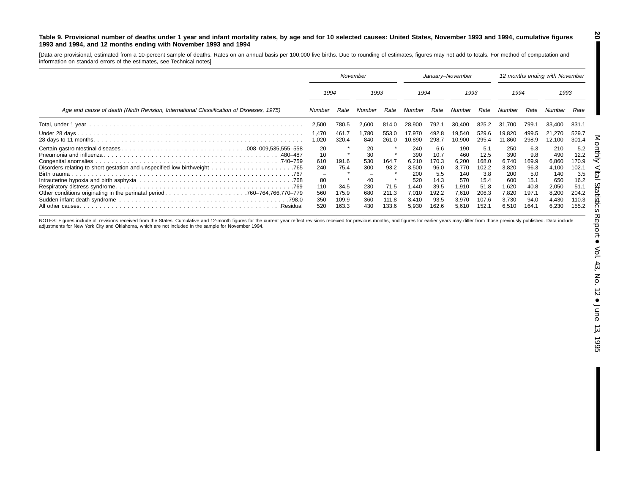#### Table 9. Provisional number of deaths under 1 year and infant mortality rates, by age and for 10 selected causes: United States, November 1993 and 1994, cumulative figures **1993 and 1994, and 12 months ending with November 1993 and 1994**

[Data are provisional, estimated from <sup>a</sup> 10-percent sample of deaths. Rates on an annual basis per 100,000 live births. Due to rounding of estimates, figures may not add to totals. For method of computation and information on standard errors of the estimates, see Technical notes]

|                                                                                         | November                                                 |                                                  |                                                          | January-November                                 |                                                                                |                                                                               |                                                                                | 12 months ending with November                                                 |                                                                                |                                                                              |                                                                                |                                                                                 |
|-----------------------------------------------------------------------------------------|----------------------------------------------------------|--------------------------------------------------|----------------------------------------------------------|--------------------------------------------------|--------------------------------------------------------------------------------|-------------------------------------------------------------------------------|--------------------------------------------------------------------------------|--------------------------------------------------------------------------------|--------------------------------------------------------------------------------|------------------------------------------------------------------------------|--------------------------------------------------------------------------------|---------------------------------------------------------------------------------|
|                                                                                         | 1994                                                     |                                                  | 1993                                                     |                                                  | 1994                                                                           |                                                                               | 1993                                                                           |                                                                                | 1994                                                                           |                                                                              | 1993                                                                           |                                                                                 |
| Age and cause of death (Ninth Revision, International Classification of Diseases, 1975) | Number                                                   | Rate                                             | Number                                                   | Rate                                             | Number                                                                         | Rate                                                                          | Number                                                                         | Rate                                                                           | Number                                                                         | Rate                                                                         | Number                                                                         | Rate                                                                            |
|                                                                                         | 2,500                                                    | 780.5                                            | 2,600                                                    | 814.0                                            | 28,900                                                                         | 792.1                                                                         | 30.400                                                                         | 825.2                                                                          | 31,700                                                                         | 799.1                                                                        | 33,400                                                                         | 831.1                                                                           |
|                                                                                         | 1,470<br>1,020                                           | 461.7<br>320.4                                   | .780<br>840                                              | 553.0<br>261.0                                   | 17,970<br>10.890                                                               | 492.8<br>298.7                                                                | 19,540<br>10,900                                                               | 529.6<br>295.4                                                                 | 19,820<br>11,860                                                               | 499.5<br>298.9                                                               | 21,270<br>12,100                                                               | 529.7<br>301.4                                                                  |
|                                                                                         | 20<br>10<br>610<br>240<br>80<br>110<br>560<br>350<br>520 | 191.6<br>75.4<br>34.5<br>175.9<br>109.9<br>163.3 | 20<br>30<br>530<br>300<br>40<br>230<br>680<br>360<br>430 | 164.7<br>93.2<br>71.5<br>211.3<br>111.8<br>133.6 | 240<br>390<br>6.210<br>3,500<br>200<br>520<br>1.440<br>7.010<br>3.410<br>5.930 | 6.6<br>10.7<br>170.3<br>96.0<br>5.5<br>14.3<br>39.5<br>192.2<br>93.5<br>162.6 | 190<br>460<br>6,200<br>3.770<br>140<br>570<br>1,910<br>7.610<br>3.970<br>5.610 | 5.1<br>12.5<br>168.0<br>102.2<br>3.8<br>15.4<br>51.8<br>206.3<br>107.6<br>152. | 250<br>390<br>6,740<br>3,820<br>200<br>600<br>1,620<br>7,820<br>3,730<br>6.510 | 6.3<br>9.8<br>169.9<br>96.3<br>5.0<br>15.1<br>40.8<br>197.1<br>94.0<br>164.1 | 210<br>490<br>6,860<br>4,100<br>140<br>650<br>2,050<br>8,200<br>4,430<br>6,230 | 5.2<br>12.2<br>170.9<br>102.1<br>3.5<br>16.2<br>51.1<br>204.2<br>110.3<br>155.2 |

NOTES: Figures include all revisions received from the States. Cumulative and 12-month figures for the current year reflect revisions received for previous months, and figures for earlier years may differ from those previo adjustments for New York City and Oklahoma, which are not included in the sample for November 1994.

**20**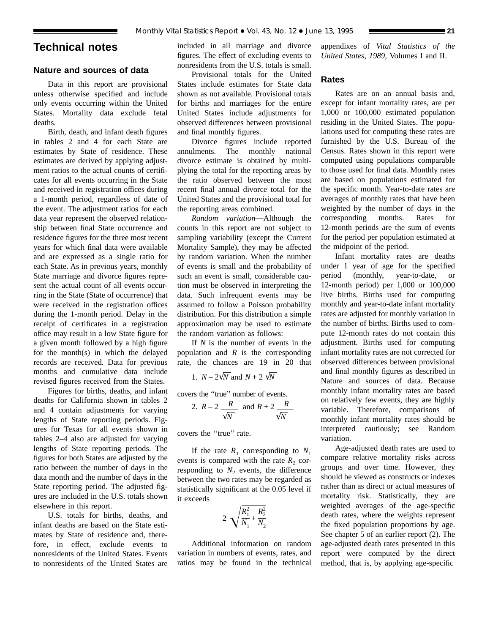# **Technical notes**

# **Nature and sources of data**

Data in this report are provisional unless otherwise specified and include only events occurring within the United States. Mortality data exclude fetal deaths.

Birth, death, and infant death figures in tables 2 and 4 for each State are estimates by State of residence. These estimates are derived by applying adjustment ratios to the actual counts of certificates for all events occurring in the State and received in registration offices during a 1-month period, regardless of date of the event. The adjustment ratios for each data year represent the observed relationship between final State occurrence and residence figures for the three most recent years for which final data were available and are expressed as a single ratio for each State. As in previous years, monthly State marriage and divorce figures represent the actual count of all events occurring in the State (State of occurrence) that were received in the registration offices during the 1-month period. Delay in the receipt of certificates in a registration office may result in a low State figure for a given month followed by a high figure for the month(s) in which the delayed records are received. Data for previous months and cumulative data include revised figures received from the States.

Figures for births, deaths, and infant deaths for California shown in tables 2 and 4 contain adjustments for varying lengths of State reporting periods. Figures for Texas for all events shown in tables 2–4 also are adjusted for varying lengths of State reporting periods. The figures for both States are adjusted by the ratio between the number of days in the data month and the number of days in the State reporting period. The adjusted figures are included in the U.S. totals shown elsewhere in this report.

U.S. totals for births, deaths, and infant deaths are based on the State estimates by State of residence and, therefore, in effect, exclude events to nonresidents of the United States. Events to nonresidents of the United States are included in all marriage and divorce figures. The effect of excluding events to nonresidents from the U.S. totals is small.

Provisional totals for the United States include estimates for State data shown as not available. Provisional totals for births and marriages for the entire United States include adjustments for observed differences between provisional and final monthly figures.

Divorce figures include reported annulments. The monthly national divorce estimate is obtained by multiplying the total for the reporting areas by the ratio observed between the most recent final annual divorce total for the United States and the provisional total for the reporting areas combined.

*Random variation*—Although the counts in this report are not subject to sampling variability (except the Current Mortality Sample), they may be affected by random variation. When the number of events is small and the probability of such an event is small, considerable caution must be observed in interpreting the data. Such infrequent events may be assumed to follow a Poisson probability distribution. For this distribution a simple approximation may be used to estimate the random variation as follows:

If *N* is the number of events in the population and *R* is the corresponding rate, the chances are 19 in 20 that

1. *N* –  $2\sqrt{N}$  and *N* + 2  $\sqrt{N}$ 

covers the ''true'' number of events.

2. 
$$
R-2 \frac{R}{\sqrt{N}}
$$
 and  $R+2 \frac{R}{\sqrt{N}}$ 

covers the ''true'' rate.

If the rate  $R_1$  corresponding to  $N_1$ events is compared with the rate  $R_2$  corresponding to  $N_2$  events, the difference between the two rates may be regarded as statistically significant at the 0.05 level if it exceeds

$$
2\sqrt{\frac{R_1^2}{N_1} + \frac{R_2^2}{N_2}}
$$

Additional information on random variation in numbers of events, rates, and ratios may be found in the technical

appendixes of *Vital Statistics of the United States, 1989,* Volumes I and II.

# **Rates**

Rates are on an annual basis and, except for infant mortality rates, are per 1,000 or 100,000 estimated population residing in the United States. The populations used for computing these rates are furnished by the U.S. Bureau of the Census. Rates shown in this report were computed using populations comparable to those used for final data. Monthly rates are based on populations estimated for the specific month. Year-to-date rates are averages of monthly rates that have been weighted by the number of days in the corresponding months. Rates for 12-month periods are the sum of events for the period per population estimated at the midpoint of the period.

Infant mortality rates are deaths under 1 year of age for the specified period (monthly, year-to-date, or 12-month period) per 1,000 or 100,000 live births. Births used for computing monthly and year-to-date infant mortality rates are adjusted for monthly variation in the number of births. Births used to compute 12-month rates do not contain this adjustment. Births used for computing infant mortality rates are not corrected for observed differences between provisional and final monthly figures as described in Nature and sources of data. Because monthly infant mortality rates are based on relatively few events, they are highly variable. Therefore, comparisons of monthly infant mortality rates should be interpreted cautiously; see Random variation.

Age-adjusted death rates are used to compare relative mortality risks across groups and over time. However, they should be viewed as constructs or indexes rather than as direct or actual measures of mortality risk. Statistically, they are weighted averages of the age-specific death rates, where the weights represent the fixed population proportions by age. See chapter 5 of an earlier report (2). The age-adjusted death rates presented in this report were computed by the direct method, that is, by applying age-specific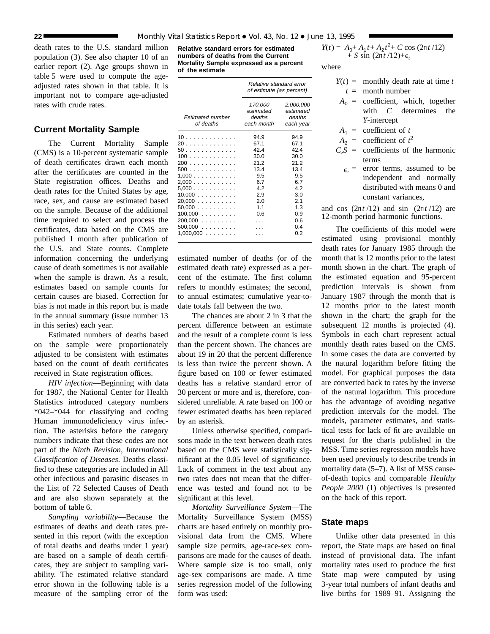death rates to the U.S. standard million population (3). See also chapter 10 of an earlier report (2). Age groups shown in table 5 were used to compute the ageadjusted rates shown in that table. It is important not to compare age-adjusted rates with crude rates.

# **Current Mortality Sample**

The Current Mortality Sample (CMS) is a 10-percent systematic sample of death certificates drawn each month after the certificates are counted in the State registration offices. Deaths and death rates for the United States by age, race, sex, and cause are estimated based on the sample. Because of the additional time required to select and process the certificates, data based on the CMS are published 1 month after publication of the U.S. and State counts. Complete information concerning the underlying cause of death sometimes is not available when the sample is drawn. As a result, estimates based on sample counts for certain causes are biased. Correction for bias is not made in this report but is made in the annual summary (issue number 13 in this series) each year.

Estimated numbers of deaths based on the sample were proportionately adjusted to be consistent with estimates based on the count of death certificates received in State registration offices.

*HIV infection*—Beginning with data for 1987, the National Center for Health Statistics introduced category numbers \*042–\*044 for classifying and coding Human immunodeficiency virus infection. The asterisks before the category numbers indicate that these codes are not part of the *Ninth Revision, International Classification of Diseases*. Deaths classified to these categories are included in All other infectious and parasitic diseases in the List of 72 Selected Causes of Death and are also shown separately at the bottom of table 6.

*Sampling variability*—Because the estimates of deaths and death rates presented in this report (with the exception of total deaths and deaths under 1 year) are based on a sample of death certificates, they are subject to sampling variability. The estimated relative standard error shown in the following table is a measure of the sampling error of the

**Relative standard errors for estimated numbers of deaths from the Current Mortality Sample expressed as a percent of the estimate**

|                               | Relative standard error<br>of estimate (as percent) |                                               |  |  |
|-------------------------------|-----------------------------------------------------|-----------------------------------------------|--|--|
| Estimated number<br>of deaths | 170,000<br>estimated<br>deaths<br>each month        | 2,000,000<br>estimated<br>deaths<br>each year |  |  |
| 10                            | 94.9                                                | 94.9                                          |  |  |
| 20                            | 67.1                                                | 67.1                                          |  |  |
| 50                            | 42.4                                                | 424                                           |  |  |
| 100                           | 30.0                                                | 30.0                                          |  |  |
| 200                           | 21.2                                                | 21.2                                          |  |  |
| 500                           | 13.4                                                | 13.4                                          |  |  |
| 1,000                         | 9.5                                                 | 9.5                                           |  |  |
| 2,000                         | 6.7                                                 | 67                                            |  |  |
| $5,000$                       | 4.2                                                 | 42                                            |  |  |
| 10,000                        | 2.9                                                 | 3.0                                           |  |  |
| 20,000                        | 2.0                                                 | 2.1                                           |  |  |
| $50,000$                      | 1.1                                                 | 1.3                                           |  |  |
| $100,000$                     | 0.6                                                 | 0.9                                           |  |  |
| $200,000$                     |                                                     | 0.6                                           |  |  |
| $500,000$                     |                                                     | 0.4                                           |  |  |
| $1,000,000$                   |                                                     | 0.2                                           |  |  |

estimated number of deaths (or of the estimated death rate) expressed as a percent of the estimate. The first column refers to monthly estimates; the second, to annual estimates; cumulative year-todate totals fall between the two.

The chances are about 2 in 3 that the percent difference between an estimate and the result of a complete count is less than the percent shown. The chances are about 19 in 20 that the percent difference is less than twice the percent shown. A figure based on 100 or fewer estimated deaths has a relative standard error of 30 percent or more and is, therefore, considered unreliable. A rate based on 100 or fewer estimated deaths has been replaced by an asterisk.

Unless otherwise specified, comparisons made in the text between death rates based on the CMS were statistically significant at the 0.05 level of significance. Lack of comment in the text about any two rates does not mean that the difference was tested and found not to be significant at this level.

*Mortality Surveillance System*—The Mortality Surveillance System (MSS) charts are based entirely on monthly provisional data from the CMS. Where sample size permits, age-race-sex comparisons are made for the causes of death. Where sample size is too small, only age-sex comparisons are made. A time series regression model of the following form was used:

$$
Y(t) = A_0 + A_1 t + A_2 t^2 + C \cos (2\pi t / 12) + S \sin (2\pi t / 12) + \epsilon_t
$$

where

- $Y(t) =$  monthly death rate at time *t*  $t =$  month number
- $A_0$  = coefficient, which, together with *C* determines the *Y*-intercept
- $A_1$  = coefficient of *t*
- $A_2$  = coefficient of  $t^2$
- $C, S =$  coefficients of the harmonic terms
	- $\epsilon_t$  = error terms, assumed to be independent and normally distributed with means 0 and constant variances,

and cos  $(2\pi t/12)$  and sin  $(2\pi t/12)$  are 12-month period harmonic functions.

The coefficients of this model were estimated using provisional monthly death rates for January 1985 through the month that is 12 months prior to the latest month shown in the chart. The graph of the estimated equation and 95-percent prediction intervals is shown from January 1987 through the month that is 12 months prior to the latest month shown in the chart; the graph for the subsequent 12 months is projected  $(4)$ . Symbols in each chart represent actual monthly death rates based on the CMS. In some cases the data are converted by the natural logarithm before fitting the model. For graphical purposes the data are converted back to rates by the inverse of the natural logarithm. This procedure has the advantage of avoiding negative prediction intervals for the model. The models, parameter estimates, and statistical tests for lack of fit are available on request for the charts published in the MSS. Time series regression models have been used previously to describe trends in mortality data (5–7). A list of MSS causeof-death topics and comparable *Healthy People 2000* (1) objectives is presented on the back of this report.

# **State maps**

Unlike other data presented in this report, the State maps are based on final instead of provisional data. The infant mortality rates used to produce the first State map were computed by using 3-year total numbers of infant deaths and live births for 1989–91. Assigning the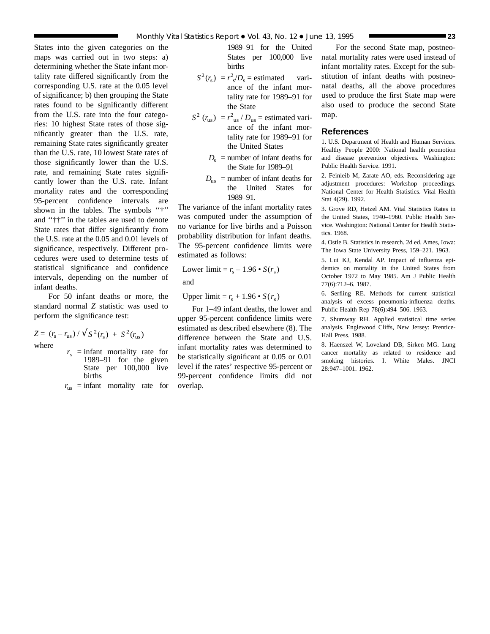States into the given categories on the maps was carried out in two steps: a) determining whether the State infant mortality rate differed significantly from the corresponding U.S. rate at the 0.05 level of significance; b) then grouping the State rates found to be significantly different from the U.S. rate into the four categories: 10 highest State rates of those significantly greater than the U.S. rate, remaining State rates significantly greater than the U.S. rate, 10 lowest State rates of those significantly lower than the U.S. rate, and remaining State rates significantly lower than the U.S. rate. Infant mortality rates and the corresponding 95-percent confidence intervals are shown in the tables. The symbols ''†'' and ''††'' in the tables are used to denote State rates that differ significantly from the U.S. rate at the 0.05 and 0.01 levels of significance, respectively. Different procedures were used to determine tests of statistical significance and confidence intervals, depending on the number of infant deaths.

For 50 infant deaths or more, the standard normal *Z* statistic was used to perform the significance test:

$$
Z = (r_s - r_{us}) / \sqrt{S^2(r_s) + S^2(r_{us})}
$$
  
where  
 $r_s$  = infant mortality rate for  
1989–91 for the given  
State per 100,000 live  
births

 $r_{\text{us}}$  = infant mortality rate for

1989–91 for the United States per 100,000 live births

- $S^2(r_s) = r_s^2/D_s$  = estimated variance of the infant mortality rate for 1989–91 for the State
- $S^2$  ( $r_{\text{us}}$ ) =  $r^2_{\text{us}}$  /  $D_{\text{us}}$  = estimated variance of the infant mortality rate for 1989–91 for the United States
	- $D_s$  = number of infant deaths for the State for 1989–91
	- $D_{\text{us}}$  = number of infant deaths for the United States for 1989–91.

The variance of the infant mortality rates was computed under the assumption of no variance for live births and a Poisson probability distribution for infant deaths. The 95-percent confidence limits were estimated as follows:

Lower limit = 
$$
r_s - 1.96 \cdot S(r_s)
$$
  
and

Upper limit =  $r_s + 1.96 \cdot S(r_s)$ 

For 1–49 infant deaths, the lower and upper 95-percent confidence limits were estimated as described elsewhere (8). The difference between the State and U.S. infant mortality rates was determined to be statistically significant at 0.05 or 0.01 level if the rates' respective 95-percent or 99-percent confidence limits did not overlap.

For the second State map, postneonatal mortality rates were used instead of infant mortality rates. Except for the substitution of infant deaths with postneonatal deaths, all the above procedures used to produce the first State map were also used to produce the second State map.

# **References**

1. U.S. Department of Health and Human Services. Healthy People 2000: National health promotion and disease prevention objectives. Washington: Public Health Service. 1991.

2. Feinleib M, Zarate AO, eds. Reconsidering age adjustment procedures: Workshop proceedings. National Center for Health Statistics. Vital Health Stat 4(29). 1992.

3. Grove RD, Hetzel AM. Vital Statistics Rates in the United States, 1940–1960. Public Health Service. Washington: National Center for Health Statistics. 1968.

4. Ostle B. Statistics in research. 2d ed. Ames, Iowa: The Iowa State University Press, 159–221. 1963.

5. Lui KJ, Kendal AP. Impact of influenza epidemics on mortality in the United States from October 1972 to May 1985. Am J Public Health 77(6):712–6. 1987.

6. Serfling RE. Methods for current statistical analysis of excess pneumonia-influenza deaths. Public Health Rep 78(6):494–506. 1963.

7. Shumway RH. Applied statistical time series analysis. Englewood Cliffs, New Jersey: Prentice-Hall Press. 1988.

8. Haenszel W, Loveland DB, Sirken MG. Lung cancer mortality as related to residence and smoking histories. I. White Males. JNCI 28:947–1001. 1962.